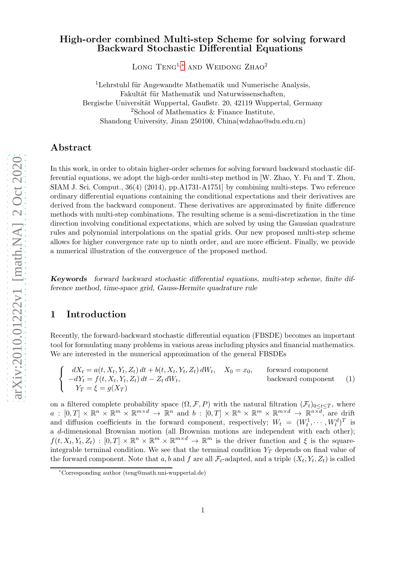## High-order combined Multi-step Scheme for solving forward Backward Stochastic Differential Equations

LONG TENG<sup>1,\*</sup> AND WEIDONG ZHAO<sup>2</sup>

 ${}^{1}$ Lehrstuhl für Angewandte Mathematik und Numerische Analysis, Fakultät für Mathematik und Naturwissenschaften, Bergische Universität Wuppertal, Gaußstr. 20, 42119 Wuppertal, Germany <sup>2</sup>School of Mathematics  $\&$  Finance Institute, Shandong University, Jinan 250100, China(wdzhao@sdu.edu.cn)

## Abstract

In this work, in order to obtain higher-order schemes for solving forward backward stochastic differential equations, we adopt the high-order multi-step method in [W. Zhao, Y. Fu and T. Zhou, SIAM J. Sci. Comput., 36(4) (2014), pp.A1731-A1751] by combining multi-steps. Two reference ordinary differential equations containing the conditional expectations and their derivatives are derived from the backward component. These derivatives are approximated by finite difference methods with multi-step combinations. The resulting scheme is a semi-discretization in the time direction involving conditional expectations, which are solved by using the Gaussian quadrature rules and polynomial interpolations on the spatial grids. Our new proposed multi-step scheme allows for higher convergence rate up to ninth order, and are more efficient. Finally, we provide a numerical illustration of the convergence of the proposed method.

Keywords forward backward stochastic differential equations, multi-step scheme, finite difference method, time-space grid, Gauss-Hermite quadrature rule

# 1 Introduction

Recently, the forward-backward stochastic differential equation (FBSDE) becomes an important tool for formulating many problems in various areas including physics and financial mathematics. We are interested in the numerical approximation of the general FBSDEs

<span id="page-0-1"></span>
$$
\begin{cases}\n dX_t = a(t, X_t, Y_t, Z_t) dt + b(t, X_t, Y_t, Z_t) dW_t, & X_0 = x_0, \quad \text{forward component} \\
 -dY_t = f(t, X_t, Y_t, Z_t) dt - Z_t dW_t, & \text{backward component} \\
 Y_T = \xi = g(X_T)\n\end{cases}
$$
\n(1)

on a filtered complete probability space  $(\Omega, \mathcal{F}, P)$  with the natural filtration  $(\mathcal{F}_t)_{0 \leq t \leq T}$ , where  $a: [0,T] \times \mathbb{R}^n \times \mathbb{R}^{m \times d} \to \mathbb{R}^n$  and  $b: [0,T] \times \mathbb{R}^n \times \mathbb{R}^{m} \times \mathbb{R}^{m \times d} \to \mathbb{R}^{n \times d}$ , are drift and diffusion coefficients in the forward component, respectively;  $W_t = (W_t^1, \dots, W_t^d)^T$  is a d-dimensional Brownian motion (all Brownian motions are independent with each other);  $f(t, X_t, Y_t, Z_t) : [0, T] \times \mathbb{R}^n \times \mathbb{R}^m \times \mathbb{R}^{m \times d} \to \mathbb{R}^m$  is the driver function and  $\xi$  is the squareintegrable terminal condition. We see that the terminal condition  $Y_T$  depends on final value of the forward component. Note that a, b and f are all  $\mathcal{F}_t$ -adapted, and a triple  $(X_t, Y_t, Z_t)$  is called

<span id="page-0-0"></span><sup>∗</sup>Corresponding author (teng@math.uni-wuppertal.de)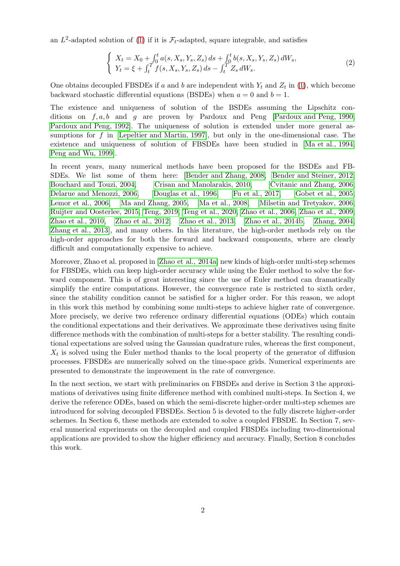an  $L^2$ -adapted solution of [\(1\)](#page-0-1) if it is  $\mathcal{F}_t$ -adapted, square integrable, and satisfies

$$
\begin{cases}\nX_t = X_0 + \int_0^t a(s, X_s, Y_s, Z_s) ds + \int_0^t b(s, X_s, Y_s, Z_s) dW_s, \\
Y_t = \xi + \int_t^T f(s, X_s, Y_s, Z_s) ds - \int_t^T Z_s dW_s.\n\end{cases}
$$
\n(2)

One obtains decoupled FBSDEs if a and b are independent with  $Y_t$  and  $Z_t$  in [\(1\)](#page-0-1), which become backward stochastic differential equations (BSDEs) when  $a = 0$  and  $b = 1$ .

The existence and uniqueness of solution of the BSDEs assuming the Lipschitz conditions on  $f, a, b$  and  $g$  are proven by Pardoux and Peng [\[Pardoux and Peng, 1990,](#page-21-0) [Pardoux and Peng, 1992\]](#page-21-1). The uniqueness of solution is extended under more general assumptions for f in [\[Lepeltier and Martin, 1997\]](#page-21-2), but only in the one-dimensional case. The existence and uniqueness of solution of FBSDEs have been studied in [\[Ma et al., 1994,](#page-21-3) [Peng and Wu, 1999\]](#page-21-4).

In recent years, many numerical methods have been proposed for the BSDEs and FB-SDEs. We list some of them here: [\[Bender and Zhang, 2008,](#page-20-0) [Bender and Steiner, 2012,](#page-20-1) [Bouchard and Touzi, 2004,](#page-20-2) [Crisan and Manolarakis, 2010,](#page-20-3) [Cvitanic and Zhang, 2006,](#page-21-5) [Delarue and Menozzi, 2006,](#page-21-6) [Douglas et al., 1996,](#page-21-7) [Fu et al., 2017,](#page-21-8) [Gobet et al., 2005,](#page-21-9) [Lemor et al., 2006,](#page-21-10) [Ma and Zhang, 2005,](#page-21-11) [Ma et al., 2008,](#page-21-12) [Milsetin and Tretyakov, 2006,](#page-21-13) [Ruijter and Oosterlee, 2015,](#page-22-0) [Teng, 2019,](#page-22-1) [Teng et al., 2020,](#page-22-2) [Zhao et al., 2006,](#page-22-3) [Zhao et al., 2009,](#page-22-4) [Zhao et al., 2010,](#page-22-5) [Zhao et al., 2012,](#page-22-6) [Zhao et al., 2013,](#page-22-7) Zhao et [al., 2014b,](#page-22-8) [Zhang, 2004,](#page-22-9) [Zhang et al., 2013\]](#page-22-10), and many others. In this literature, the high-order methods rely on the high-order approaches for both the forward and backward components, where are clearly difficult and computationally expensive to achieve.

Moreover, Zhao et al. proposed in [\[Zhao et al., 2014a\]](#page-22-11) new kinds of high-order multi-step schemes for FBSDEs, which can keep high-order accuracy while using the Euler method to solve the forward component. This is of great interesting since the use of Euler method can dramatically simplify the entire computations. However, the convergence rate is restricted to sixth order, since the stability condition cannot be satisfied for a higher order. For this reason, we adopt in this work this method by combining some multi-steps to achieve higher rate of convergence. More precisely, we derive two reference ordinary differential equations (ODEs) which contain the conditional expectations and their derivatives. We approximate these derivatives using finite difference methods with the combination of multi-steps for a better stability. The resulting conditional expectations are solved using the Gaussian quadrature rules, whereas the first component,  $X_t$  is solved using the Euler method thanks to the local property of the generator of diffusion processes. FBSDEs are numerically solved on the time-space grids. Numerical experiments are presented to demonstrate the improvement in the rate of convergence.

In the next section, we start with preliminaries on FBSDEs and derive in Section 3 the approximations of derivatives using finite difference method with combined multi-steps. In Section 4, we derive the reference ODEs, based on which the semi-discrete higher-order multi-step schemes are introduced for solving decoupled FBSDEs. Section 5 is devoted to the fully discrete higher-order schemes. In Section 6, these methods are extended to solve a coupled FBSDE. In Section 7, several numerical experiments on the decoupled and coupled FBSDEs including two-dimensional applications are provided to show the higher efficiency and accuracy. Finally, Section 8 concludes this work.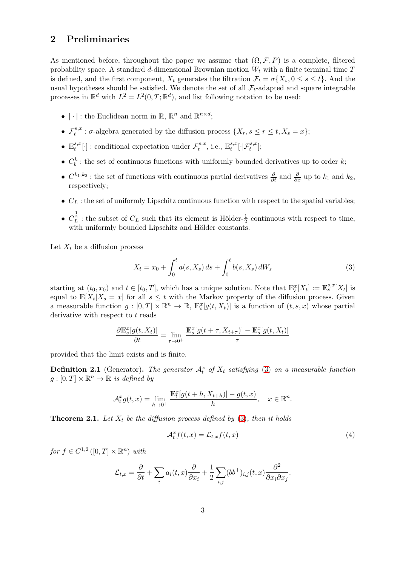## <span id="page-2-3"></span>2 Preliminaries

As mentioned before, throughout the paper we assume that  $(\Omega, \mathcal{F}, P)$  is a complete, filtered probability space. A standard d-dimensional Brownian motion  $W_t$  with a finite terminal time T is defined, and the first component,  $X_t$  generates the filtration  $\mathcal{F}_t = \sigma\{X_s, 0 \leq s \leq t\}$ . And the usual hypotheses should be satisfied. We denote the set of all  $\mathcal{F}_t$ -adapted and square integrable processes in  $\mathbb{R}^d$  with  $L^2 = L^2(0,T;\mathbb{R}^d)$ , and list following notation to be used:

- |  $\cdot$  | : the Euclidean norm in  $\mathbb{R}, \mathbb{R}^n$  and  $\mathbb{R}^{n \times d}$ ;
- $\mathcal{F}^{s,x}_t$  $t^{s,x}$ :  $\sigma$ -algebra generated by the diffusion process  $\{X_r, s \leq r \leq t, X_s = x\};$
- $\bullet \ \mathbb{E}^{s,x}_{\cdot}$  $t^{s,x}[\cdot]$ : conditional expectation under  $\mathcal{F}^{s,x}_t$  $t^{s,x}$ , i.e.,  $\mathbb{E}_t^{s,x}$  $_{t}^{s,x}[\cdot|\mathcal{F}_{t}^{s,x}];$
- $C_b^k$ : the set of continuous functions with uniformly bounded derivatives up to order k;
- $C^{k_1,k_2}$ : the set of functions with continuous partial derivatives  $\frac{\partial}{\partial t}$  and  $\frac{\partial}{\partial x}$  up to  $k_1$  and  $k_2$ , respectively;
- $C_L$ : the set of uniformly Lipschitz continuous function with respect to the spatial variables;
- $C_L^{\frac{1}{2}}$ : the subset of  $C_L$  such that its element is Hölder- $\frac{1}{2}$  continuous with respect to time, with uniformly bounded Lipschitz and Hölder constants.

Let  $X_t$  be a diffusion process

<span id="page-2-0"></span>
$$
X_t = x_0 + \int_0^t a(s, X_s) \, ds + \int_0^t b(s, X_s) \, dW_s \tag{3}
$$

starting at  $(t_0, x_0)$  and  $t \in [t_0, T]$ , which has a unique solution. Note that  $\mathbb{E}_s^x[X_t] := \mathbb{E}_s^{s,x}[X_t]$  is equal to  $\mathbb{E}[X_t|X_s=x]$  for all  $s\leq t$  with the Markov property of the diffusion process. Given a measurable function  $g: [0, T] \times \mathbb{R}^n \to \mathbb{R}$ ,  $\mathbb{E}_s^x[g(t, X_t)]$  is a function of  $(t, s, x)$  whose partial derivative with respect to  $t$  reads

$$
\frac{\partial \mathbb{E}^x_s[g(t,X_t)]}{\partial t} = \lim_{\tau \to 0^+} \frac{\mathbb{E}^x_s[g(t+\tau,X_{t+\tau})] - \mathbb{E}^x_s[g(t,X_t)]}{\tau}
$$

provided that the limit exists and is finite.

**Definition 2.1** (Generator). The generator  $A_t^x$  of  $X_t$  satisfying [\(3\)](#page-2-0) on a measurable function  $g: [0, T] \times \mathbb{R}^n \to \mathbb{R}$  is defined by

$$
\mathcal{A}_t^x g(t,x) = \lim_{h \to 0^+} \frac{\mathbb{E}_t^x [g(t+h, X_{t+h})] - g(t,x)}{h}, \quad x \in \mathbb{R}^n.
$$

<span id="page-2-2"></span>**Theorem 2.1.** Let  $X_t$  be the diffusion process defined by [\(3\)](#page-2-0), then it holds

<span id="page-2-1"></span>
$$
\mathcal{A}_t^x f(t, x) = \mathcal{L}_{t, x} f(t, x) \tag{4}
$$

.

for  $f \in C^{1,2}([0,T] \times \mathbb{R}^n)$  with

$$
\mathcal{L}_{t,x} = \frac{\partial}{\partial t} + \sum_{i} a_i(t,x) \frac{\partial}{\partial x_i} + \frac{1}{2} \sum_{i,j} (bb^{\top})_{i,j}(t,x) \frac{\partial^2}{\partial x_i \partial x_j}
$$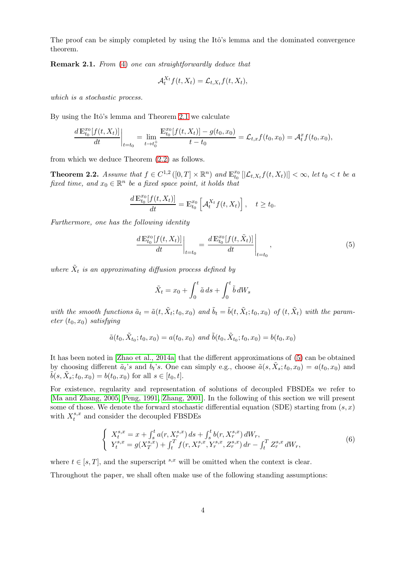The proof can be simply completed by using the Itô's lemma and the dominated convergence theorem.

Remark 2.1. From [\(4\)](#page-2-1) one can straightforwardly deduce that

$$
\mathcal{A}_t^{X_t} f(t, X_t) = \mathcal{L}_{t, X_t} f(t, X_t),
$$

which is a stochastic process.

By using the Itô's lemma and Theorem [2.1](#page-2-2) we calculate

$$
\frac{d \mathbb{E}_{t_0}^{x_0}[f(t, X_t)]}{dt}\bigg|_{t=t_0} = \lim_{t \to t_0^+} \frac{\mathbb{E}_{t_0}^{x_0}[f(t, X_t)] - g(t_0, x_0)}{t - t_0} = \mathcal{L}_{t,x}f(t_0, x_0) = \mathcal{A}_t^x f(t_0, x_0),
$$

from which we deduce Theorem [\(2.2\)](#page-3-0) as follows.

<span id="page-3-0"></span>**Theorem 2.2.** Assume that  $f \in C^{1,2}([0,T] \times \mathbb{R}^n)$  and  $\mathbb{E}_{t_0}^{x_0}[[\mathcal{L}_{t,X_t}f(t,X_t)]] < \infty$ , let  $t_0 < t$  be a fixed time, and  $x_0 \in \mathbb{R}^n$  be a fixed space point, it holds that

$$
\frac{d\mathbb{E}_{t_0}^{x_0}[f(t,X_t)]}{dt} = \mathbb{E}_{t_0}^{x_0}\left[\mathcal{A}_t^{X_t}f(t,X_t)\right], \quad t \ge t_0.
$$

Furthermore, one has the following identity

<span id="page-3-1"></span>
$$
\left. \frac{d \mathbb{E}_{t_0}^{x_0}[f(t, X_t)]}{dt} \right|_{t=t_0} = \left. \frac{d \mathbb{E}_{t_0}^{x_0}[f(t, \tilde{X}_t)]}{dt} \right|_{t=t_0}, \tag{5}
$$

where  $\tilde{X}_t$  is an approximating diffusion process defined by

$$
\tilde{X}_t = x_0 + \int_0^t \tilde{a} \, ds + \int_0^t \tilde{b} \, dW_s
$$

with the smooth functions  $\tilde{a}_t = \tilde{a}(t, \tilde{X}_t; t_0, x_0)$  and  $\tilde{b}_t = \tilde{b}(t, \tilde{X}_t; t_0, x_0)$  of  $(t, \tilde{X}_t)$  with the parameter  $(t_0, x_0)$  satisfying

$$
\tilde{a}(t_0, \tilde{X}_{t_0}; t_0, x_0) = a(t_0, x_0) \text{ and } \tilde{b}(t_0, \tilde{X}_{t_0}; t_0, x_0) = b(t_0, x_0)
$$

It has been noted in [\[Zhao et al., 2014a\]](#page-22-11) that the different approximations of [\(5\)](#page-3-1) can be obtained by choosing different  $\tilde{a}_t$ 's and  $\tilde{b}_t$ 's. One can simply e.g., choose  $\tilde{a}(s, \tilde{X}_s; t_0, x_0) = a(t_0, x_0)$  and  $\tilde{b}(s, \tilde{X}_s; t_0, x_0) = b(t_0, x_0)$  for all  $s \in [t_0, t]$ .

For existence, regularity and representation of solutions of decoupled FBSDEs we refer to [\[Ma and Zhang, 2005,](#page-21-11) [Peng, 1991,](#page-21-14) [Zhang, 2001\]](#page-22-12). In the following of this section we will present some of those. We denote the forward stochastic differential equation (SDE) starting from  $(s, x)$ with  $X_t^{s,x}$  $t_t^{s,x}$  and consider the decoupled FBSDEs

<span id="page-3-2"></span>
$$
\begin{cases}\nX_t^{s,x} = x + \int_s^t a(r, X_r^{s,x}) ds + \int_s^t b(r, X_r^{s,x}) dW_r, \\
Y_t^{s,x} = g(X_T^{s,x}) + \int_t^T f(r, X_r^{s,x}, Y_r^{s,x}, Z_r^{s,x}) dr - \int_t^T Z_r^{s,x} dW_r,\n\end{cases} \tag{6}
$$

where  $t \in [s, T]$ , and the superscript  $s,x$  will be omitted when the context is clear.

Throughout the paper, we shall often make use of the following standing assumptions: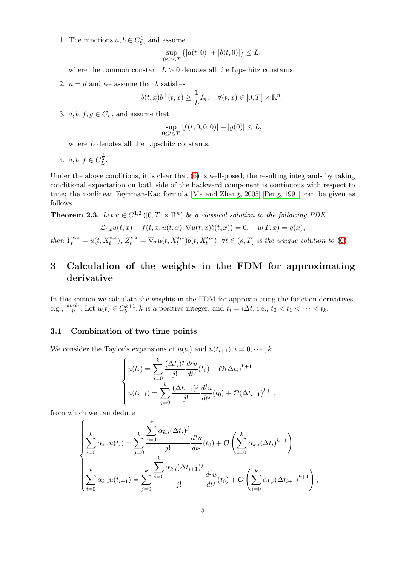1. The functions  $a, b \in C_b^1$ , and assume

$$
\sup_{0 \le t \le T} \{|a(t, 0)| + |b(t, 0)|\} \le L,
$$

where the common constant  $L > 0$  denotes all the Lipschitz constants.

2.  $n = d$  and we assume that b satisfies

$$
b(t,x)b^{\top}(t,x) \geq \frac{1}{L}I_n, \quad \forall (t,x) \in [0,T] \times \mathbb{R}^n.
$$

3.  $a, b, f, g \in C_L$ , and assume that

$$
\sup_{0 \le t \le T} |f(t, 0, 0, 0)| + |g(0)| \le L,
$$

where  $L$  denotes all the Lipschitz constants.

4.  $a, b, f \in C_L^{\frac{1}{2}}$ .

Under the above conditions, it is clear that [\(6\)](#page-3-2) is well-posed; the resulting integrands by taking conditional expectation on both side of the backward component is continuous with respect to time; the nonlinear Feynman-Kac formula [\[Ma and Zhang, 2005,](#page-21-11) [Peng, 1991\]](#page-21-14) can be given as follows.

<span id="page-4-1"></span>**Theorem 2.3.** Let  $u \in C^{1,2}([0,T] \times \mathbb{R}^n)$  be a classical solution to the following PDE

$$
\mathcal{L}_{t,x}u(t,x) + f(t,x,u(t,x),\nabla u(t,x)b(t,x)) = 0, \quad u(T,x) = g(x),
$$
  
then  $Y_t^{s,x} = u(t, X_t^{s,x}), Z_t^{s,x} = \nabla_x u(t, X_t^{s,x})b(t, X_t^{s,x}), \forall t \in (s,T]$  is the unique solution to (6).

# 3 Calculation of the weights in the FDM for approximating derivative

In this section we calculate the weights in the FDM for approximating the function derivatives, e.g.,  $\frac{du(t)}{dt}$ . Let  $u(t) \in C_b^{k+1}$ , k is a positive integer, and  $t_i = i\Delta t$ , i.e.,  $t_0 < t_1 < \cdots < t_k$ .

### <span id="page-4-0"></span>3.1 Combination of two time points

We consider the Taylor's expansions of  $u(t_i)$  and  $u(t_{i+1}), i = 0, \dots, k$ 

$$
\begin{cases}\n u(t_i) = \sum_{j=0}^{k} \frac{(\Delta t_i)^j}{j!} \frac{d^j u}{dt^j}(t_0) + \mathcal{O}(\Delta t_i)^{k+1} \\
 u(t_{i+1}) = \sum_{j=0}^{k} \frac{(\Delta t_{i+1})^j}{j!} \frac{d^j u}{dt^j}(t_0) + \mathcal{O}(\Delta t_{i+1})^{k+1},\n\end{cases}
$$

from which we can deduce

$$
\begin{cases} \n\sum_{i=0}^{k} \alpha_{k,i} u(t_i) = \sum_{j=0}^{k} \frac{\sum_{i=0}^{k} \alpha_{k,i} (\Delta t_i)^j}{j!} \frac{d^j u}{dt^j}(t_0) + \mathcal{O}\left(\sum_{i=0}^{k} \alpha_{k,i} (\Delta t_i)^{k+1}\right) \\
\sum_{i=0}^{k} \alpha_{k,i} u(t_{i+1}) = \sum_{j=0}^{k} \frac{\sum_{i=0}^{k} \alpha_{k,i} (\Delta t_{i+1})^j}{j!} \frac{d^j u}{dt^j}(t_0) + \mathcal{O}\left(\sum_{i=0}^{k} \alpha_{k,i} (\Delta t_{i+1})^{k+1}\right),\n\end{cases}
$$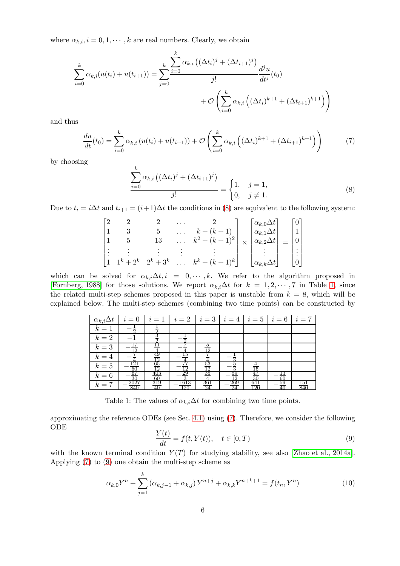where  $\alpha_{k,i}, i = 0, 1, \dots, k$  are real numbers. Clearly, we obtain

$$
\sum_{i=0}^{k} \alpha_{k,i}(u(t_i) + u(t_{i+1})) = \sum_{j=0}^{k} \frac{\sum_{i=0}^{k} \alpha_{k,i} ((\Delta t_i)^j + (\Delta t_{i+1})^j)}{j!} \frac{d^j u}{dt^j}(t_0) + \mathcal{O}\left(\sum_{i=0}^{k} \alpha_{k,i} ((\Delta t_i)^{k+1} + (\Delta t_{i+1})^{k+1})\right)
$$

and thus

<span id="page-5-2"></span>
$$
\frac{du}{dt}(t_0) = \sum_{i=0}^{k} \alpha_{k,i} \left( u(t_i) + u(t_{i+1}) \right) + \mathcal{O}\left( \sum_{i=0}^{k} \alpha_{k,i} \left( (\Delta t_i)^{k+1} + (\Delta t_{i+1})^{k+1} \right) \right) \tag{7}
$$

by choosing

<span id="page-5-0"></span>
$$
\frac{\sum_{i=0}^{k} \alpha_{k,i} \left( (\Delta t_i)^j + (\Delta t_{i+1})^j \right)}{j!} = \begin{cases} 1, & j = 1, \\ 0, & j \neq 1. \end{cases}
$$
 (8)

Due to  $t_i = i\Delta t$  and  $t_{i+1} = (i+1)\Delta t$  the conditions in [\(8\)](#page-5-0) are equivalent to the following system:

$$
\begin{bmatrix} 2 & 2 & 2 & \dots & 2 \\ 1 & 3 & 5 & \dots & k + (k+1) \\ 1 & 5 & 13 & \dots & k^2 + (k+1)^2 \\ \vdots & \vdots & \vdots & \vdots & \vdots \\ 1 & 1^k + 2^k & 2^k + 3^k & \dots & k^k + (k+1)^k \end{bmatrix} \times \begin{bmatrix} \alpha_{k,0} \Delta t \\ \alpha_{k,1} \Delta t \\ \alpha_{k,2} \Delta t \\ \vdots \\ \alpha_{k,k} \Delta t \end{bmatrix} = \begin{bmatrix} 0 \\ 1 \\ 0 \\ \vdots \\ 0 \end{bmatrix}
$$

<span id="page-5-1"></span>which can be solved for  $\alpha_{k,i}\Delta t$ , i = 0,  $\dots$ , k. We refer to the algorithm proposed in [\[Fornberg, 1988\]](#page-21-15) for those solutions. We report  $\alpha_{k,i}\Delta t$  for  $k = 1, 2, \cdots, 7$  $k = 1, 2, \cdots, 7$  $k = 1, 2, \cdots, 7$  in Table 1, since the related multi-step schemes proposed in this paper is unstable from  $k = 8$ , which will be explained below. The multi-step schemes (combining two time points) can be constructed by

| $\alpha_{k,i}\Delta t$ | $i=0$                                | $i=1$            | $i=2$ $i=3$ $i=4$ $i=5$ $i=6$ |           |                   |                        |          | $i=7$      |
|------------------------|--------------------------------------|------------------|-------------------------------|-----------|-------------------|------------------------|----------|------------|
| $k=1$                  |                                      |                  |                               |           |                   |                        |          |            |
| $k=2$                  |                                      |                  |                               |           |                   |                        |          |            |
| $k=3$                  | 19                                   |                  |                               | ΙQ        |                   |                        |          |            |
| $k=4$                  |                                      | 49<br>19         |                               |           |                   |                        |          |            |
| $k=5$                  | 121                                  | 65<br>1 າ        |                               | ാ         |                   |                        |          |            |
| $k=6$                  | $\frac{60}{67}$<br>$\frac{30}{2027}$ | $\frac{60}{319}$ | 29                            | 35        | 59<br>$1^{\circ}$ | 47<br>$\frac{30}{641}$ | 60       |            |
| $k=7$                  | 840                                  | $40^{\circ}$     | 1613<br>120                   | 361<br>24 | 269<br>24         | 120                    | 59<br>40 | 151<br>840 |

Table 1: The values of  $\alpha_{k,i}\Delta t$  for combining two time points.

approximating the reference ODEs (see Sec. [4.1\)](#page-9-0) using [\(7\)](#page-5-2). Therefore, we consider the following ODE

<span id="page-5-3"></span>
$$
\frac{Y(t)}{dt} = f(t, Y(t)), \quad t \in [0, T)
$$
\n(9)

with the known terminal condition  $Y(T)$  for studying stability, see also [\[Zhao et al., 2014a\]](#page-22-11). Applying [\(7\)](#page-5-2) to [\(9\)](#page-5-3) one obtain the multi-step scheme as

<span id="page-5-4"></span>
$$
\alpha_{k,0}Y^{n} + \sum_{j=1}^{k} (\alpha_{k,j-1} + \alpha_{k,j}) Y^{n+j} + \alpha_{k,k} Y^{n+k+1} = f(t_n, Y^{n})
$$
\n(10)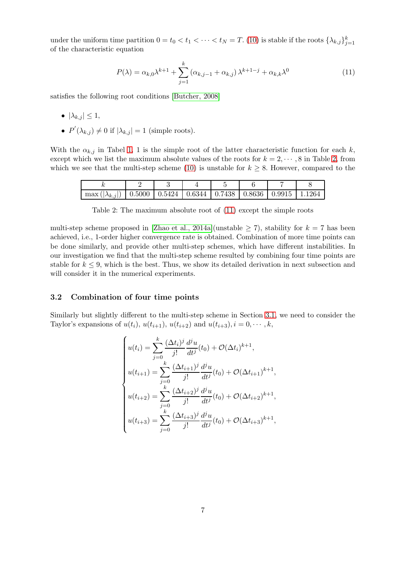under the uniform time partition  $0 = t_0 < t_1 < \cdots < t_N = T$ . [\(10\)](#page-5-4) is stable if the roots  $\{\lambda_{k,j}\}_{j=1}^k$ of the characteristic equation

<span id="page-6-1"></span>
$$
P(\lambda) = \alpha_{k,0} \lambda^{k+1} + \sum_{j=1}^{k} (\alpha_{k,j-1} + \alpha_{k,j}) \lambda^{k+1-j} + \alpha_{k,k} \lambda^{0}
$$
 (11)

satisfies the following root conditions [\[Butcher, 2008\]](#page-20-4)

- $|\lambda_{k,j}| \leq 1$ ,
- $P'(\lambda_{k,j}) \neq 0$  if  $|\lambda_{k,j}| = 1$  (simple roots).

<span id="page-6-0"></span>With the  $\alpha_{k,j}$  in Tabel [1,](#page-5-1) 1 is the simple root of the latter characteristic function for each k, except which we list the maximum absolute values of the roots for  $k = 2, \dots, 8$  $k = 2, \dots, 8$  $k = 2, \dots, 8$  in Table 2, from which we see that the multi-step scheme [\(10\)](#page-5-4) is unstable for  $k \geq 8$ . However, compared to the

| max (<br>$ \lambda_{k,j} $ |  |  | $\mid 0.5000 \mid 0.5424 \mid 0.6344 \mid 0.7438 \mid 0.8636 \mid 0.9915$ | 1264 |
|----------------------------|--|--|---------------------------------------------------------------------------|------|

Table 2: The maximum absolute root of [\(11\)](#page-6-1) except the simple roots

multi-step scheme proposed in [\[Zhao et al., 2014a\]](#page-22-11)(unstable  $\geq$  7), stability for  $k = 7$  has been achieved, i.e., 1-order higher convergence rate is obtained. Combination of more time points can be done similarly, and provide other multi-step schemes, which have different instabilities. In our investigation we find that the multi-step scheme resulted by combining four time points are stable for  $k \leq 9$ , which is the best. Thus, we show its detailed derivation in next subsection and will consider it in the numerical experiments.

#### 3.2 Combination of four time points

Similarly but slightly different to the multi-step scheme in Section [3.1,](#page-4-0) we need to consider the Taylor's expansions of  $u(t_i)$ ,  $u(t_{i+1})$ ,  $u(t_{i+2})$  and  $u(t_{i+3})$ ,  $i = 0, \dots, k$ ,

$$
\begin{cases}\nu(t_i) = \sum_{j=0}^{k} \frac{(\Delta t_i)^j}{j!} \frac{d^j u}{dt^j}(t_0) + \mathcal{O}(\Delta t_i)^{k+1}, \\
u(t_{i+1}) = \sum_{j=0}^{k} \frac{(\Delta t_{i+1})^j}{j!} \frac{d^j u}{dt^j}(t_0) + \mathcal{O}(\Delta t_{i+1})^{k+1}, \\
u(t_{i+2}) = \sum_{j=0}^{k} \frac{(\Delta t_{i+2})^j}{j!} \frac{d^j u}{dt^j}(t_0) + \mathcal{O}(\Delta t_{i+2})^{k+1}, \\
u(t_{i+3}) = \sum_{j=0}^{k} \frac{(\Delta t_{i+3})^j}{j!} \frac{d^j u}{dt^j}(t_0) + \mathcal{O}(\Delta t_{i+3})^{k+1},\n\end{cases}
$$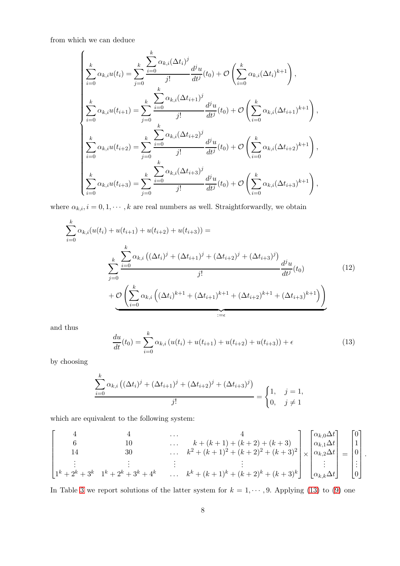from which we can deduce

$$
\begin{cases}\n\sum_{i=0}^{k} \alpha_{k,i} u(t_i) = \sum_{j=0}^{k} \frac{\sum_{i=0}^{k} \alpha_{k,i} (\Delta t_i)^j}{j!} \frac{d^j u}{dt^j}(t_0) + \mathcal{O}\left(\sum_{i=0}^{k} \alpha_{k,i} (\Delta t_i)^{k+1}\right), \\
\sum_{i=0}^{k} \alpha_{k,i} u(t_{i+1}) = \sum_{j=0}^{k} \frac{\sum_{i=0}^{k} \alpha_{k,i} (\Delta t_{i+1})^j}{j!} \frac{d^j u}{dt^j}(t_0) + \mathcal{O}\left(\sum_{i=0}^{k} \alpha_{k,i} (\Delta t_{i+1})^{k+1}\right), \\
\sum_{i=0}^{k} \alpha_{k,i} u(t_{i+2}) = \sum_{j=0}^{k} \frac{\sum_{i=0}^{k} \alpha_{k,i} (\Delta t_{i+2})^j}{j!} \frac{d^j u}{dt^j}(t_0) + \mathcal{O}\left(\sum_{i=0}^{k} \alpha_{k,i} (\Delta t_{i+2})^{k+1}\right), \\
\sum_{i=0}^{k} \alpha_{k,i} u(t_{i+3}) = \sum_{j=0}^{k} \frac{\sum_{i=0}^{k} \alpha_{k,i} (\Delta t_{i+3})^j}{j!} \frac{d^j u}{dt^j}(t_0) + \mathcal{O}\left(\sum_{i=0}^{k} \alpha_{k,i} (\Delta t_{i+3})^{k+1}\right),\n\end{cases}
$$

where  $\alpha_{k,i}$ ,  $i = 0, 1, \dots, k$  are real numbers as well. Straightforwardly, we obtain

<span id="page-7-1"></span>
$$
\sum_{i=0}^{k} \alpha_{k,i}(u(t_i) + u(t_{i+1}) + u(t_{i+2}) + u(t_{i+3})) =
$$
\n
$$
\sum_{j=0}^{k} \frac{\sum_{i=0}^{k} \alpha_{k,i} ((\Delta t_i)^j + (\Delta t_{i+1})^j + (\Delta t_{i+2})^j + (\Delta t_{i+3})^j)}{j!} \frac{d^j u}{dt^j}(t_0)
$$
\n
$$
+ \underbrace{\mathcal{O}\left(\sum_{i=0}^{k} \alpha_{k,i} ((\Delta t_i)^{k+1} + (\Delta t_{i+1})^{k+1} + (\Delta t_{i+2})^{k+1} + (\Delta t_{i+3})^{k+1})\right)}_{:=\epsilon}
$$
\n(12)

and thus

<span id="page-7-0"></span>
$$
\frac{du}{dt}(t_0) = \sum_{i=0}^{k} \alpha_{k,i} \left( u(t_i) + u(t_{i+1}) + u(t_{i+2}) + u(t_{i+3}) \right) + \epsilon \tag{13}
$$

by choosing

$$
\frac{\sum_{i=0}^{k} \alpha_{k,i} ((\Delta t_i)^j + (\Delta t_{i+1})^j + (\Delta t_{i+2})^j + (\Delta t_{i+3})^j)}{j!} = \begin{cases} 1, & j = 1, \\ 0, & j \neq 1 \end{cases}
$$

which are equivalent to the following system:

$$
\begin{bmatrix}\n4 & 4 & \cdots & 4 \\
6 & 10 & \cdots & k + (k+1) + (k+2) + (k+3) \\
14 & 30 & \cdots & k^2 + (k+1)^2 + (k+2)^2 + (k+3)^2 \\
\vdots & \vdots & \vdots & \vdots \\
1^k + 2^k + 3^k & 1^k + 2^k + 3^k + 4^k & \cdots & k^k + (k+1)^k + (k+2)^k + (k+3)^k\n\end{bmatrix}\n\times\n\begin{bmatrix}\n\alpha_{k,0}\Delta t \\
\alpha_{k,1}\Delta t \\
\alpha_{k,2}\Delta t \\
\vdots \\
\alpha_{k,k}\Delta t\n\end{bmatrix}\n=\n\begin{bmatrix}\n0 \\
1 \\
0 \\
\vdots \\
0\n\end{bmatrix}.
$$

In Table [3](#page-8-0) we report solutions of the latter system for  $k = 1, \dots, 9$ . Applying [\(13\)](#page-7-0) to [\(9\)](#page-5-3) one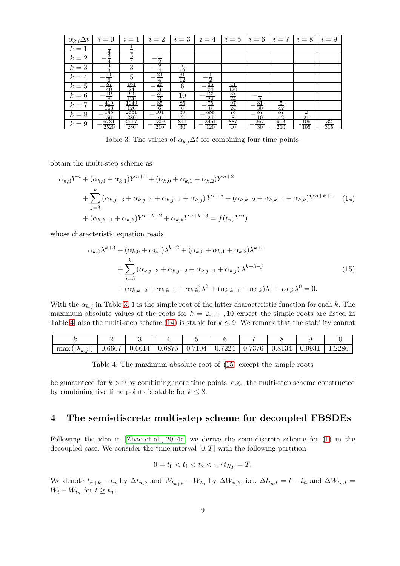<span id="page-8-0"></span>

| $\alpha_{k,i}\Delta t$ | $i=0$                                                | $i=1$                                    | $i=2$                                                        | $i=3$                             | $i=4$                               | $i=5$                                                                             | $i=6$           | $i=7$                                 | $i=8$                              | $i=9$            |
|------------------------|------------------------------------------------------|------------------------------------------|--------------------------------------------------------------|-----------------------------------|-------------------------------------|-----------------------------------------------------------------------------------|-----------------|---------------------------------------|------------------------------------|------------------|
| $k=1$                  |                                                      |                                          |                                                              |                                   |                                     |                                                                                   |                 |                                       |                                    |                  |
| $k=2$                  |                                                      |                                          |                                                              |                                   |                                     |                                                                                   |                 |                                       |                                    |                  |
| $k=3$                  | $\frac{4}{3}$                                        | 3                                        |                                                              |                                   |                                     |                                                                                   |                 |                                       |                                    |                  |
| $k=4$                  | $\frac{11}{6}$                                       | $\overline{5}$                           | 21                                                           | $\frac{1}{31}$<br>$\frac{31}{12}$ | $\Omega$                            |                                                                                   |                 |                                       |                                    |                  |
| $k=5$                  |                                                      |                                          |                                                              | $6\phantom{.}6$                   |                                     |                                                                                   |                 |                                       |                                    |                  |
| $k=6$                  | $rac{87}{19}$                                        | $\frac{\frac{161}{24}}{\frac{949}{120}}$ | $\frac{26}{3}$ $\frac{35}{3}$ $\frac{35}{85}$ $\frac{85}{6}$ | 10                                | $\frac{53}{125}$<br>$\frac{24}{75}$ |                                                                                   |                 |                                       |                                    |                  |
| $k=7$                  |                                                      | 1049<br>120                              |                                                              | $\frac{85}{6}$                    |                                     |                                                                                   | $\frac{31}{30}$ | $rac{5}{42}$                          |                                    |                  |
| $k=8$                  | <u>419</u><br>168<br><u>145</u><br>56<br><u>6781</u> | $\frac{2661}{280}$                       | . <u>101</u><br>4303                                         |                                   | . 385<br>. 24<br>3461               | $\frac{41}{120}$ $\frac{37}{29}$ $\frac{47}{24}$ $\frac{37}{24}$ $\frac{887}{40}$ | $\frac{37}{10}$ | $\frac{\frac{37}{42}}{\frac{953}{2}}$ | $\frac{2}{21}$<br>$\frac{21}{106}$ |                  |
| $k=9$                  | 2520                                                 | 2917<br>280                              | 210                                                          | $rac{39}{841}$<br>$rac{841}{30}$  | 120                                 |                                                                                   | 367<br>30       | $\overline{210}$                      | 105                                | $\frac{32}{315}$ |

Table 3: The values of  $\alpha_{k,i}\Delta t$  for combining four time points.

obtain the multi-step scheme as

<span id="page-8-2"></span>
$$
\alpha_{k,0}Y^{n} + (\alpha_{k,0} + \alpha_{k,1})Y^{n+1} + (\alpha_{k,0} + \alpha_{k,1} + \alpha_{k,2})Y^{n+2}
$$
  
+ 
$$
\sum_{j=3}^{k} (\alpha_{k,j-3} + \alpha_{k,j-2} + \alpha_{k,j-1} + \alpha_{k,j})Y^{n+j} + (\alpha_{k,k-2} + \alpha_{k,k-1} + \alpha_{k,k})Y^{n+k+1}
$$
 (14)  
+ 
$$
(\alpha_{k,k-1} + \alpha_{k,k})Y^{n+k+2} + \alpha_{k,k}Y^{n+k+3} = f(t_n, Y^n)
$$

<span id="page-8-3"></span>whose characteristic equation reads

$$
\alpha_{k,0}\lambda^{k+3} + (\alpha_{k,0} + \alpha_{k,1})\lambda^{k+2} + (\alpha_{k,0} + \alpha_{k,1} + \alpha_{k,2})\lambda^{k+1} + \sum_{j=3}^{k} (\alpha_{k,j-3} + \alpha_{k,j-2} + \alpha_{k,j-1} + \alpha_{k,j})\lambda^{k+3-j} + (\alpha_{k,k-2} + \alpha_{k,k-1} + \alpha_{k,k})\lambda^2 + (\alpha_{k,k-1} + \alpha_{k,k})\lambda^1 + \alpha_{k,k}\lambda^0 = 0.
$$
\n(15)

With the  $\alpha_{k,j}$  in Table [3,](#page-8-0) 1 is the simple root of the latter characteristic function for each k. The maximum absolute values of the roots for  $k = 2, \dots, 10$  expect the simple roots are listed in Table [4,](#page-8-1) also the multi-step scheme [\(14\)](#page-8-2) is stable for  $k \leq 9$ . We remark that the stability cannot

<span id="page-8-1"></span>

| max<br>$\lambda_k$ | 0.6667 | 0.6614 | 0.6875 | 0.7104 | 0.7224 | 0.7376 | 0.8134 | 0.9931 | 9986 |
|--------------------|--------|--------|--------|--------|--------|--------|--------|--------|------|

Table 4: The maximum absolute root of [\(15\)](#page-8-3) except the simple roots

be guaranteed for  $k > 9$  by combining more time points, e.g., the multi-step scheme constructed by combining five time points is stable for  $k \leq 8$ .

### 4 The semi-discrete multi-step scheme for decoupled FBSDEs

Following the idea in [\[Zhao et al., 2014a\]](#page-22-11) we derive the semi-discrete scheme for [\(1\)](#page-0-1) in the decoupled case. We consider the time interval  $[0, T]$  with the following partition

$$
0 = t_0 < t_1 < t_2 < \cdots t_{N_T} = T.
$$

We denote  $t_{n+k} - t_n$  by  $\Delta t_{n,k}$  and  $W_{t_{n+k}} - W_{t_n}$  by  $\Delta W_{n,k}$ , i.e.,  $\Delta t_{t_n,t} = t - t_n$  and  $\Delta W_{t_n,t} =$  $W_t - W_{t_n}$  for  $t \geq t_n$ .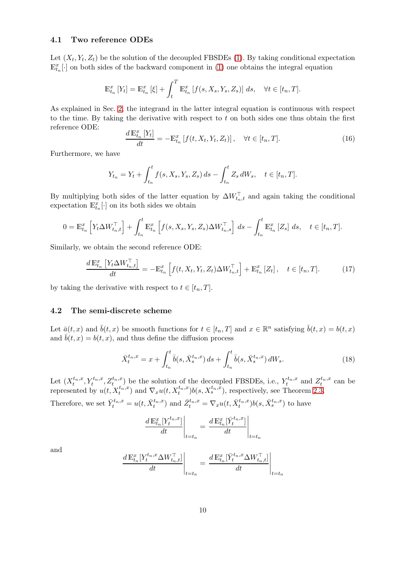#### <span id="page-9-0"></span>4.1 Two reference ODEs

Let  $(X_t, Y_t, Z_t)$  be the solution of the decoupled FBSDEs [\(1\)](#page-0-1). By taking conditional expectation  $\mathbb{E}_{t_n}^x[\cdot]$  on both sides of the backward component in [\(1\)](#page-0-1) one obtains the integral equation

$$
\mathbb{E}_{t_n}^x [Y_t] = \mathbb{E}_{t_n}^x [\xi] + \int_t^T \mathbb{E}_{t_n}^x [f(s, X_s, Y_s, Z_s)] ds, \quad \forall t \in [t_n, T].
$$

As explained in Sec. [2,](#page-2-3) the integrand in the latter integral equation is continuous with respect to the time. By taking the derivative with respect to  $t$  on both sides one thus obtain the first reference ODE:

<span id="page-9-1"></span>
$$
\frac{d\mathbb{E}_{t_n}^x[Y_t]}{dt} = -\mathbb{E}_{t_n}^x\left[f(t, X_t, Y_t, Z_t)\right], \quad \forall t \in [t_n, T].\tag{16}
$$

Furthermore, we have

$$
Y_{t_n} = Y_t + \int_{t_n}^t f(s, X_s, Y_s, Z_s) \, ds - \int_{t_n}^t Z_s \, dW_s, \quad t \in [t_n, T].
$$

By multiplying both sides of the latter equation by  $\Delta W_{t_n,t}^{\top}$  and again taking the conditional expectation  $\mathbb{E}_{t_n}^x[\cdot]$  on its both sides we obtain

$$
0 = \mathbb{E}_{t_n}^x \left[ Y_t \Delta W_{t_n, t}^\top \right] + \int_{t_n}^t \mathbb{E}_{t_n}^x \left[ f(s, X_s, Y_s, Z_s) \Delta W_{t_n, s}^\top \right] ds - \int_{t_n}^t \mathbb{E}_{t_n}^x \left[ Z_s \right] ds, \quad t \in [t_n, T].
$$

Similarly, we obtain the second reference ODE:

<span id="page-9-2"></span>
$$
\frac{d\mathbb{E}_{t_n}^x \left[ Y_t \Delta W_{t_n,t}^\top \right]}{dt} = -\mathbb{E}_{t_n}^x \left[ f(t, X_t, Y_t, Z_t) \Delta W_{t_n,t}^\top \right] + \mathbb{E}_{t_n}^x \left[ Z_t \right], \quad t \in [t_n, T]. \tag{17}
$$

by taking the derivative with respect to  $t \in [t_n, T]$ .

#### 4.2 The semi-discrete scheme

Let  $\bar{a}(t, x)$  and  $\bar{b}(t, x)$  be smooth functions for  $t \in [t_n, T]$  and  $x \in \mathbb{R}^n$  satisfying  $\bar{b}(t, x) = b(t, x)$ and  $b(t, x) = b(t, x)$ , and thus define the diffusion process

<span id="page-9-3"></span>
$$
\bar{X}_t^{t_n,x} = x + \int_{t_n}^t \bar{b}(s, \bar{X}_s^{t_n,x}) ds + \int_{t_n}^t \bar{b}(s, \bar{X}_s^{t_n,x}) dW_s.
$$
\n(18)

Let  $(X_t^{t_n,x}, Y_t^{t_n,x}, Z_t^{t_n,x})$  be the solution of the decoupled FBSDEs, i.e.,  $Y_t^{t_n,x}$  and  $Z_t^{t_n,x}$  can be represented by  $u(t, X_t^{t_n,x})$  and  $\nabla_x u(t, X_t^{t_n,x})b(s, X_s^{t_n,x})$ , respectively, see Theorem [2.3.](#page-4-1)

Therefore, we set  $\bar{Y}_t^{t_n,x} = u(t, \bar{X}_t^{t_n,x})$  and  $\bar{Z}_t^{t_n,x} = \nabla_x u(t, \bar{X}_t^{t_n,x}) b(s, \bar{X}_s^{t_n,x})$  to have

$$
\left. \frac{d \mathbb{E}_{t_n}^x[Y_t^{t_n,x}]}{dt} \right|_{t=t_n} = \left. \frac{d \mathbb{E}_{t_n}^x[\bar{Y}_t^{t_n,x}]}{dt} \right|_{t=t_n}
$$

and

$$
\left.\frac{d\,\mathbb{E}_{t_n}^x[Y_t^{t_n,x}\Delta W_{t_n,t}^\top]}{dt}\right|_{t=t_n}=\left.\frac{d\,\mathbb{E}_{t_n}^x[\bar{Y}_t^{t_n,x}\Delta W_{t_n,t}^\top]}{dt}\right|_{t=t_n}
$$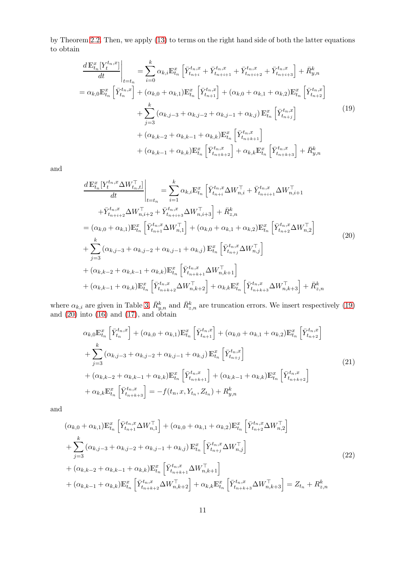by Theorem [2.2.](#page-3-0) Then, we apply [\(13\)](#page-7-0) to terms on the right hand side of both the latter equations to obtain

<span id="page-10-0"></span>
$$
\frac{d \mathbb{E}_{t_{n}}^{x}[Y_{t}^{t_{n},x}]}{dt} \Big|_{t=t_{n}} = \sum_{i=0}^{k} \alpha_{k,i} \mathbb{E}_{t_{n}}^{x} \left[ \bar{Y}_{t_{n+i}}^{t_{n},x} + \bar{Y}_{t_{n+i+1}}^{t_{n},x} + \bar{Y}_{t_{n+i+2}}^{t_{n},x} + \bar{Y}_{t_{n+i+3}}^{t_{n},x} \right] + \bar{R}_{y,n}^{k}
$$
\n
$$
= \alpha_{k,0} \mathbb{E}_{t_{n}}^{x} \left[ \bar{Y}_{t_{n}}^{t_{n},x} \right] + (\alpha_{k,0} + \alpha_{k,1}) \mathbb{E}_{t_{n}}^{x} \left[ \bar{Y}_{t_{n+1}}^{t_{n},x} \right] + (\alpha_{k,0} + \alpha_{k,1} + \alpha_{k,2}) \mathbb{E}_{t_{n}}^{x} \left[ \bar{Y}_{t_{n+2}}^{t_{n},x} \right]
$$
\n
$$
+ \sum_{j=3}^{k} (\alpha_{k,j-3} + \alpha_{k,j-2} + \alpha_{k,j-1} + \alpha_{k,j}) \mathbb{E}_{t_{n}}^{x} \left[ \bar{Y}_{t_{n+j}}^{t_{n},x} \right]
$$
\n
$$
+ (\alpha_{k,k-2} + \alpha_{k,k-1} + \alpha_{k,k}) \mathbb{E}_{t_{n}}^{x} \left[ \bar{Y}_{t_{n+k+1}}^{t_{n},x} \right]
$$
\n
$$
+ (\alpha_{k,k-1} + \alpha_{k,k}) \mathbb{E}_{t_{n}}^{x} \left[ \bar{Y}_{t_{n+k+2}}^{t_{n},x} \right] + \alpha_{k,k} \mathbb{E}_{t_{n}}^{x} \left[ \bar{Y}_{t_{n+k+3}}^{t_{n},x} \right] + \bar{R}_{y,n}^{k}
$$
\n
$$
(19)
$$

and

<span id="page-10-1"></span>
$$
\frac{d \mathbb{E}_{t_n}^x [Y_t^{t_n,x} \Delta W_{t_n,t}^\top]}{dt} \Big|_{t=t_n} = \sum_{i=1}^k \alpha_{k,i} \mathbb{E}_{t_n}^x \left[ \bar{Y}_{t_{n+i}}^{t_n,x} \Delta W_{n,i}^\top + \bar{Y}_{t_{n+i+1}}^{t_n,x} \Delta W_{n,i+1}^\top \right. \n+ \bar{Y}_{t_{n+i+2}}^{t_n,x} \Delta W_{n,i+2}^\top + \bar{Y}_{t_{n+i+3}}^{t_n,x} \Delta W_{n,i+3}^\top \right] + \bar{R}_{z,n}^k \n= (\alpha_{k,0} + \alpha_{k,1}) \mathbb{E}_{t_n}^x \left[ \bar{Y}_{t_{n+1}}^{t_n,x} \Delta W_{n,1}^\top \right] + (\alpha_{k,0} + \alpha_{k,1} + \alpha_{k,2}) \mathbb{E}_{t_n}^x \left[ \bar{Y}_{t_{n+2}}^{t_n,x} \Delta W_{n,2}^\top \right] \n+ \sum_{j=3}^k (\alpha_{k,j-3} + \alpha_{k,j-2} + \alpha_{k,j-1} + \alpha_{k,j}) \mathbb{E}_{t_n}^x \left[ \bar{Y}_{t_{n+i}}^{t_n,x} \Delta W_{n,j}^\top \right] \n+ (\alpha_{k,k-2} + \alpha_{k,k-1} + \alpha_{k,k}) \mathbb{E}_{t_n}^x \left[ \bar{Y}_{t_{n+k+1}}^{t_n,x} \Delta W_{n,k+1}^\top \right] \n+ (\alpha_{k,k-1} + \alpha_{k,k}) \mathbb{E}_{t_n}^x \left[ \bar{Y}_{t_{n+k+2}}^{t_n,x} \Delta W_{n,k+2}^\top \right] + \alpha_{k,k} \mathbb{E}_{t_n}^x \left[ \bar{Y}_{t_{n+k+3}}^{t_n,x} \Delta W_{n,k+3}^\top \right] + \bar{R}_{z,n}^k
$$

where  $\alpha_{k,i}$  are given in Table [3,](#page-8-0)  $\bar{R}_{y,n}^k$  and  $\bar{R}_{z,n}^k$  are truncation errors. We insert respectively [\(19\)](#page-10-0) and [\(20\)](#page-10-1) into [\(16\)](#page-9-1) and [\(17\)](#page-9-2), and obtain

<span id="page-10-2"></span>
$$
\alpha_{k,0}\mathbb{E}_{t_n}^x \left[ \bar{Y}_{t_n}^{t_n,x} \right] + (\alpha_{k,0} + \alpha_{k,1})\mathbb{E}_{t_n}^x \left[ \bar{Y}_{t_{n+1}}^{t_n,x} \right] + (\alpha_{k,0} + \alpha_{k,1} + \alpha_{k,2})\mathbb{E}_{t_n}^x \left[ \bar{Y}_{t_{n+2}}^{t_n,x} \right]
$$
\n
$$
+ \sum_{j=3}^k (\alpha_{k,j-3} + \alpha_{k,j-2} + \alpha_{k,j-1} + \alpha_{k,j}) \mathbb{E}_{t_n}^x \left[ \bar{Y}_{t_{n+1}}^{t_n,x} \right]
$$
\n
$$
+ (\alpha_{k,k-2} + \alpha_{k,k-1} + \alpha_{k,k})\mathbb{E}_{t_n}^x \left[ \bar{Y}_{t_{n+k+1}}^{t_n,x} \right] + (\alpha_{k,k-1} + \alpha_{k,k})\mathbb{E}_{t_n}^x \left[ \bar{Y}_{t_{n+k+2}}^{t_n,x} \right]
$$
\n
$$
+ \alpha_{k,k}\mathbb{E}_{t_n}^x \left[ \bar{Y}_{t_{n+k+3}}^{t_n,x} \right] = -f(t_n, x, Y_{t_n}, Z_{t_n}) + R_{y,n}^k
$$
\n(21)

and

<span id="page-10-3"></span>
$$
(\alpha_{k,0} + \alpha_{k,1}) \mathbb{E}_{t_n}^x \left[ \bar{Y}_{t_{n+1}}^{t_n, x} \Delta W_{n,1}^\top \right] + (\alpha_{k,0} + \alpha_{k,1} + \alpha_{k,2}) \mathbb{E}_{t_n}^x \left[ \bar{Y}_{t_{n+2}}^{t_n, x} \Delta W_{n,2}^\top \right]
$$
  
+ 
$$
\sum_{j=3}^k (\alpha_{k,j-3} + \alpha_{k,j-2} + \alpha_{k,j-1} + \alpha_{k,j}) \mathbb{E}_{t_n}^x \left[ \bar{Y}_{t_{n+j}}^{t_n, x} \Delta W_{n,j}^\top \right]
$$
  
+ 
$$
(\alpha_{k,k-2} + \alpha_{k,k-1} + \alpha_{k,k}) \mathbb{E}_{t_n}^x \left[ \bar{Y}_{t_{n+k+1}}^{t_n, x} \Delta W_{n,k+1}^\top \right]
$$
  
+ 
$$
(\alpha_{k,k-1} + \alpha_{k,k}) \mathbb{E}_{t_n}^x \left[ \bar{Y}_{t_{n+k+2}}^{t_n, x} \Delta W_{n,k+2}^\top \right] + \alpha_{k,k} \mathbb{E}_{t_n}^x \left[ \bar{Y}_{t_{n+k+3}}^{t_n, x} \Delta W_{n,k+3}^\top \right] = Z_{t_n} + R_{z,n}^k
$$
 (22)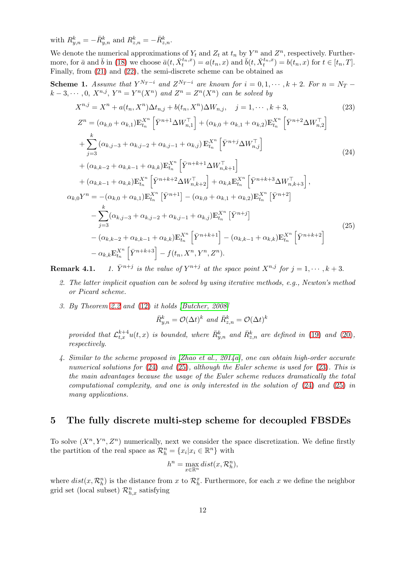with  $R_{y,n}^k = -\bar{R}_{y,n}^k$  and  $R_{z,n}^k = -\bar{R}_{z,n}^k$ .

We denote the numerical approximations of  $Y_t$  and  $Z_t$  at  $t_n$  by  $Y^n$  and  $Z^n$ , respectively. Furthermore, for  $\bar{a}$  and  $\bar{b}$  in [\(18\)](#page-9-3) we choose  $\bar{a}(t, \bar{X}_t^{t_n,x}) = a(t_n, x)$  and  $\bar{b}(t, \bar{X}_t^{t_n,x}) = b(t_n, x)$  for  $t \in [t_n, T]$ . Finally, from [\(21\)](#page-10-2) and [\(22\)](#page-10-3), the semi-discrete scheme can be obtained as

**Scheme 1.** Assume that  $Y^{N_T-i}$  and  $Z^{N_T-i}$  are known for  $i = 0, 1, \dots, k+2$ . For  $n = N_T$  $k-3, \cdots, 0, X^{n,j}, Y^n = Y^n(X^n)$  and  $Z^n = Z^n(X^n)$  can be solved by

<span id="page-11-2"></span><span id="page-11-0"></span>
$$
X^{n,j} = X^n + a(t_n, X^n) \Delta t_{n,j} + b(t_n, X^n) \Delta W_{n,j}, \quad j = 1, \dots, k+3,
$$
\n
$$
Z^n = (\alpha_{k,0} + \alpha_{k,1}) \mathbb{E}_{t_n}^{X^n} \left[ \bar{Y}^{n+1} \Delta W_{n,1}^\top \right] + (\alpha_{k,0} + \alpha_{k,1} + \alpha_{k,2}) \mathbb{E}_{t_n}^{X^n} \left[ \bar{Y}^{n+2} \Delta W_{n,2}^\top \right]
$$
\n
$$
+ \sum_{j=3}^k (\alpha_{k,j-3} + \alpha_{k,j-2} + \alpha_{k,j-1} + \alpha_{k,j}) \mathbb{E}_{t_n}^{X^n} \left[ \bar{Y}^{n+j} \Delta W_{n,j}^\top \right]
$$
\n
$$
+ (\alpha_{k,k-2} + \alpha_{k,k-1} + \alpha_{k,k}) \mathbb{E}_{t_n}^{X^n} \left[ \bar{Y}^{n+k+1} \Delta W_{n,k+1}^\top \right]
$$
\n
$$
+ (\alpha_{k,k-1} + \alpha_{k,k}) \mathbb{E}_{t_n}^{X^n} \left[ \bar{Y}^{n+k+2} \Delta W_{n,k+2}^\top \right] + \alpha_{k,k} \mathbb{E}_{t_n}^{X^n} \left[ \bar{Y}^{n+k+3} \Delta W_{n,k+3}^\top \right],
$$
\n
$$
\alpha_{k,0} Y^n = -(\alpha_{k,0} + \alpha_{k,1}) \mathbb{E}_{t_n}^{X^n} \left[ \bar{Y}^{n+1} \right] - (\alpha_{k,0} + \alpha_{k,1} + \alpha_{k,2}) \mathbb{E}_{t_n}^{X^n} \left[ \bar{Y}^{n+2} \right]
$$
\n
$$
- \sum_{j=3}^k (\alpha_{k,j-3} + \alpha_{k,j-2} + \alpha_{k,j-1} + \alpha_{k,j}) \mathbb{E}_{t_n}^{X^n} \left[ \bar{Y}^{n+j} \right]
$$
\n
$$
- (\alpha_{k,k-2} + \alpha_{k,k-1} + \alpha_{k,k}) \mathbb{E}_{t_n}^{X^n} \left[ \bar{Y}^{n+k+1} \right] - (\alpha_{k,k-1} + \alpha_{k,k}) \mathbb{E}_{t_n}^{X^n} \left[ \bar{Y}^{n
$$

<span id="page-11-1"></span>Remark 4.1. is the value of  $Y^{n+j}$  at the space point  $X^{n,j}$  for  $j = 1, \dots, k+3$ .

- 2. The latter implicit equation can be solved by using iterative methods, e.g., Newton's method or Picard scheme.
- 3. By Theorem [2.2](#page-3-0) and [\(12\)](#page-7-1) it holds [\[Butcher, 2008\]](#page-20-4)

$$
\bar{R}_{y,n}^k = \mathcal{O}(\Delta t)^k \text{ and } \bar{R}_{z,n}^k = \mathcal{O}(\Delta t)^k
$$

provided that  $\mathcal{L}_{t,x}^{k+4}u(t,x)$  is bounded, where  $\bar{R}_{y,n}^{k}$  and  $\bar{R}_{z,n}^{k}$  are defined in [\(19\)](#page-10-0) and [\(20\)](#page-10-1), respectively.

4. Similar to the scheme proposed in [\[Zhao et al., 2014a\]](#page-22-11), one can obtain high-order accurate numerical solutions for  $(24)$  and  $(25)$ , although the Euler scheme is used for  $(23)$ . This is the main advantages because the usage of the Euler scheme reduces dramatically the total computational complexity, and one is only interested in the solution of [\(24\)](#page-11-0) and [\(25\)](#page-11-1) in many applications.

## 5 The fully discrete multi-step scheme for decoupled FBSDEs

To solve  $(X^n, Y^n, Z^n)$  numerically, next we consider the space discretization. We define firstly the partition of the real space as  $\mathcal{R}_h^n = \{x_i | x_i \in \mathbb{R}^n\}$  with

$$
h^n = \max_{x \in \mathbb{R}^n} dist(x, \mathcal{R}_h^n),
$$

where  $dist(x, \mathcal{R}_h^n)$  is the distance from x to  $\mathcal{R}_h^x$ . Furthermore, for each x we define the neighbor grid set (local subset)  $\mathcal{R}_{h,x}^n$  satisfying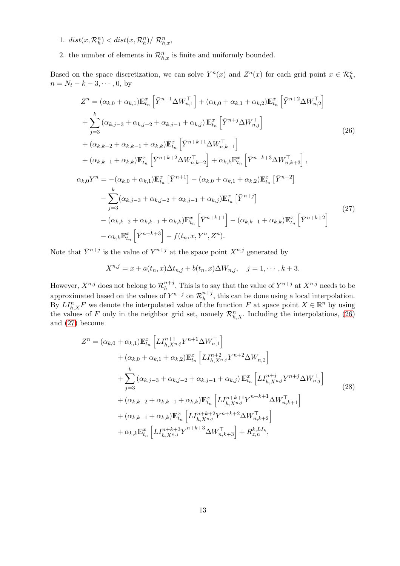- 1.  $dist(x, \mathcal{R}_h^n) < dist(x, \mathcal{R}_h^n) / \mathcal{R}_{h,x}^n$
- 2. the number of elements in  $\mathcal{R}_{h,x}^n$  is finite and uniformly bounded.

Based on the space discretization, we can solve  $Y^n(x)$  and  $Z^n(x)$  for each grid point  $x \in \mathcal{R}_h^n$ ,  $n = N_t - k - 3, \cdots, 0$ , by

<span id="page-12-0"></span>
$$
Z^{n} = (\alpha_{k,0} + \alpha_{k,1}) \mathbb{E}_{t_{n}}^{x} \left[ \bar{Y}^{n+1} \Delta W_{n,1}^{\top} \right] + (\alpha_{k,0} + \alpha_{k,1} + \alpha_{k,2}) \mathbb{E}_{t_{n}}^{x} \left[ \bar{Y}^{n+2} \Delta W_{n,2}^{\top} \right]
$$
  
+ 
$$
\sum_{j=3}^{k} (\alpha_{k,j-3} + \alpha_{k,j-2} + \alpha_{k,j-1} + \alpha_{k,j}) \mathbb{E}_{t_{n}}^{x} \left[ \bar{Y}^{n+j} \Delta W_{n,j}^{\top} \right]
$$
(26)  
+ 
$$
(\alpha_{k,k-2} + \alpha_{k,k-1} + \alpha_{k,k}) \mathbb{E}_{t_{n}}^{x} \left[ \bar{Y}^{n+k+1} \Delta W_{n,k+1}^{\top} \right]
$$
  
+ 
$$
(\alpha_{k,k-1} + \alpha_{k,k}) \mathbb{E}_{t_{n}}^{x} \left[ \bar{Y}^{n+k+2} \Delta W_{n,k+2}^{\top} \right] + \alpha_{k,k} \mathbb{E}_{t_{n}}^{x} \left[ \bar{Y}^{n+k+3} \Delta W_{n,k+3}^{\top} \right],
$$
  

$$
\alpha_{k,0} Y^{n} = -(\alpha_{k,0} + \alpha_{k,1}) \mathbb{E}_{t_{n}}^{x} \left[ \bar{Y}^{n+1} \right] - (\alpha_{k,0} + \alpha_{k,1} + \alpha_{k,2}) \mathbb{E}_{t_{n}}^{x} \left[ \bar{Y}^{n+2} \right]
$$
  
- 
$$
\sum_{j=3}^{k} (\alpha_{k,j-3} + \alpha_{k,j-2} + \alpha_{k,j-1} + \alpha_{k,j}) \mathbb{E}_{t_{n}}^{x} \left[ \bar{Y}^{n+k+1} \right] - (\alpha_{k,k-1} + \alpha_{k,k}) \mathbb{E}_{t_{n}}^{x} \left[ \bar{Y}^{n+k+2} \right]
$$
  
- 
$$
\alpha_{k,k} \mathbb{E}_{t_{n}}^{x} \left[ \bar{Y}^{n+k+3} \right] - f(t_{n}, x, Y^{n}, Z^{n}).
$$
  
(27)

<span id="page-12-1"></span>Note that  $\bar{Y}^{n+j}$  is the value of  $Y^{n+j}$  at the space point  $X^{n,j}$  generated by

$$
X^{n,j} = x + a(t_n, x)\Delta t_{n,j} + b(t_n, x)\Delta W_{n,j}, \quad j = 1, \cdots, k+3.
$$

However,  $X^{n,j}$  does not belong to  $\mathcal{R}_h^{n+j}$  $\binom{n+j}{h}$ . This is to say that the value of  $Y^{n+j}$  at  $X^{n,j}$  needs to be approximated based on the values of  $Y^{n+j}$  on  $\mathcal{R}_h^{n+j}$  $h^{n+j}$ , this can be done using a local interpolation. By  $LI_{h,X}^nF$  we denote the interpolated value of the function F at space point  $X \in \mathbb{R}^n$  by using the values of F only in the neighbor grid set, namely  $\mathcal{R}_{h,X}^n$ . Including the interpolations, [\(26\)](#page-12-0) and [\(27\)](#page-12-1) become

<span id="page-12-2"></span>
$$
Z^{n} = (\alpha_{k,0} + \alpha_{k,1}) \mathbb{E}_{t_{n}}^{x} \left[ L I_{h,X^{n,j}}^{n+1} Y^{n+1} \Delta W_{n,1}^{\top} \right] + (\alpha_{k,0} + \alpha_{k,1} + \alpha_{k,2}) \mathbb{E}_{t_{n}}^{x} \left[ L I_{h,X^{n,j}}^{n+2} Y^{n+2} \Delta W_{n,2}^{\top} \right] + \sum_{j=3}^{k} (\alpha_{k,j-3} + \alpha_{k,j-2} + \alpha_{k,j-1} + \alpha_{k,j}) \mathbb{E}_{t_{n}}^{x} \left[ L I_{h,X^{n,j}}^{n+j} Y^{n+j} \Delta W_{n,j}^{\top} \right] + (\alpha_{k,k-2} + \alpha_{k,k-1} + \alpha_{k,k}) \mathbb{E}_{t_{n}}^{x} \left[ L I_{h,X^{n,j}}^{n+k+1} Y^{n+k+1} \Delta W_{n,k+1}^{\top} \right] + (\alpha_{k,k-1} + \alpha_{k,k}) \mathbb{E}_{t_{n}}^{x} \left[ L I_{h,X^{n,j}}^{n+k+2} Y^{n+k+2} \Delta W_{n,k+2}^{\top} \right] + \alpha_{k,k} \mathbb{E}_{t_{n}}^{x} \left[ L I_{h,X^{n,j}}^{n+k+3} Y^{n+k+3} \Delta W_{n,k+3}^{\top} \right] + R_{z,n}^{k,LL_{h}},
$$
\n(28)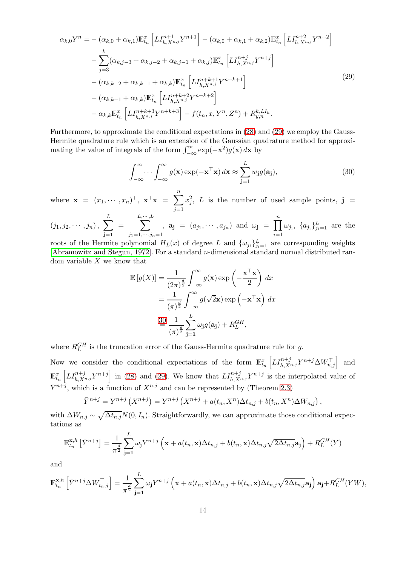<span id="page-13-0"></span>
$$
\alpha_{k,0}Y^{n} = -(\alpha_{k,0} + \alpha_{k,1})\mathbb{E}_{t_{n}}^{x}\left[LI_{h,X^{n,j}}^{n+1}Y^{n+1}\right] - (\alpha_{k,0} + \alpha_{k,1} + \alpha_{k,2})\mathbb{E}_{t_{n}}^{x}\left[LI_{h,X^{n,j}}^{n+2}Y^{n+2}\right]
$$

$$
-\sum_{j=3}^{k}(\alpha_{k,j-3} + \alpha_{k,j-2} + \alpha_{k,j-1} + \alpha_{k,j})\mathbb{E}_{t_{n}}^{x}\left[LI_{h,X^{n,j}}^{n+j}Y^{n+j}\right]
$$

$$
-(\alpha_{k,k-2} + \alpha_{k,k-1} + \alpha_{k,k})\mathbb{E}_{t_{n}}^{x}\left[LI_{h,X^{n,j}}^{n+k+1}Y^{n+k+1}\right]
$$

$$
-(\alpha_{k,k-1} + \alpha_{k,k})\mathbb{E}_{t_{n}}^{x}\left[LI_{h,X^{n,j}}^{n+k+2}Y^{n+k+2}\right]
$$

$$
-\alpha_{k,k}\mathbb{E}_{t_{n}}^{x}\left[LI_{h,X^{n,j}}^{n+k+3}Y^{n+k+3}\right] - f(t_{n},x,Y^{n},Z^{n}) + R_{y,n}^{k,LI_{h}}.
$$

$$
(29)
$$

Furthermore, to approximate the conditional expectations in [\(28\)](#page-12-2) and [\(29\)](#page-13-0) we employ the Gauss-Hermite quadrature rule which is an extension of the Gaussian quadrature method for approximating the value of integrals of the form  $\int_{-\infty}^{\infty} \exp(-\mathbf{x}^2) g(\mathbf{x}) d\mathbf{x}$  by

<span id="page-13-1"></span>
$$
\int_{-\infty}^{\infty} \cdots \int_{-\infty}^{\infty} g(\mathbf{x}) \exp(-\mathbf{x}^{\top}\mathbf{x}) d\mathbf{x} \approx \sum_{j=1}^{L} w_j g(\mathbf{a}_j),
$$
 (30)

where  $\mathbf{x} = (x_1, \dots, x_n)^\top, \ \mathbf{x}^\top \mathbf{x} = \sum^n$  $j=1$  $x_j^2$ , L is the number of used sample points,  $\mathbf{j} =$ 

$$
(j_1, j_2, \dots, j_n), \sum_{j=1}^L = \sum_{j_1=1, \dots, j_n=1}^{L, \dots, L}, \mathbf{a}_j = (a_{j_1}, \dots, a_{j_n}) \text{ and } \omega_j = \prod_{i=1}^n \omega_{j_i}, \{a_{j_i}\}_{j_i=1}^L \text{ are the}
$$

roots of the Hermite polynomial  $H_L(x)$  of degree L and  $\{\omega_{j_i}\}_{j_i=1}^L$  are corresponding weights [\[Abramowitz and Stegun, 1972\]](#page-20-5). For a standard n-dimensional standard normal distributed random variable  $X$  we know that

$$
\mathbb{E}\left[g(X)\right] = \frac{1}{(2\pi)^{\frac{d}{2}}} \int_{-\infty}^{\infty} g(\mathbf{x}) \exp\left(-\frac{\mathbf{x}^{\top}\mathbf{x}}{2}\right) dx
$$

$$
= \frac{1}{(\pi)^{\frac{d}{2}}} \int_{-\infty}^{\infty} g(\sqrt{2}\mathbf{x}) \exp\left(-\mathbf{x}^{\top}\mathbf{x}\right) dx
$$

$$
\stackrel{30}{=} \frac{1}{(\pi)^{\frac{d}{2}}} \sum_{\mathbf{j}=\mathbf{1}}^{L} \omega_{\mathbf{j}} g(\mathbf{a}_{\mathbf{j}}) + R_{L}^{GH},
$$

where  $R_L^{GH}$  is the truncation error of the Gauss-Hermite quadrature rule for g.

Now we consider the conditional expectations of the form  $\mathbb{E}_{t_n}^x \left[ L I_{h,X^{n,j}}^{n+j} Y^{n+j} \Delta W_{n,j}^\top \right]$  and  $\mathbb{E}_{t_n}^x \left[ L I_{h,X^{n,j}}^{n+j} Y^{n+j} \right]$  in [\(28\)](#page-12-2) and [\(29\)](#page-13-0). We know that  $L I_{h,X^{n,j}}^{n+j} Y^{n+j}$  is the interpolated value of  $\bar{Y}^{n+\bar{j}}$ , which is a function of  $X^{n,j}$  and can be represented by (Theorem [2.3\)](#page-4-1)

$$
\overline{Y}^{n+j} = Y^{n+j} (X^{n+j}) = Y^{n+j} (X^{n+j} + a(t_n, X^n) \Delta t_{n,j} + b(t_n, X^n) \Delta W_{n,j}),
$$

with  $\Delta W_{n,j} \sim \sqrt{\Delta t_{n,j}}N(0, I_n)$ . Straightforwardly, we can approximate those conditional expectations as

$$
\mathbb{E}_{t_n}^{\mathbf{x},h} \left[ \bar{Y}^{n+j} \right] = \frac{1}{\pi^{\frac{d}{2}}} \sum_{\mathbf{j}=1}^{L} \omega_{\mathbf{j}} Y^{n+j} \left( \mathbf{x} + a(t_n, \mathbf{x}) \Delta t_{n,j} + b(t_n, \mathbf{x}) \Delta t_{n,j} \sqrt{2 \Delta t_{n,j}} \mathbf{a}_{\mathbf{j}} \right) + R_L^{GH}(Y)
$$

and

$$
\mathbb{E}_{t_n}^{\mathbf{x},h} \left[ \bar{Y}^{n+j} \Delta W_{t_n,j}^{\top} \right] = \frac{1}{\pi^{\frac{d}{2}}} \sum_{\mathbf{j}=\mathbf{1}}^{L} \omega_{\mathbf{j}} Y^{n+j} \left( \mathbf{x} + a(t_n, \mathbf{x}) \Delta t_{n,j} + b(t_n, \mathbf{x}) \Delta t_{n,j} \sqrt{2 \Delta t_{n,j}} \mathbf{a}_{\mathbf{j}} \right) \mathbf{a}_{\mathbf{j}} + R_L^{GH}(YW),
$$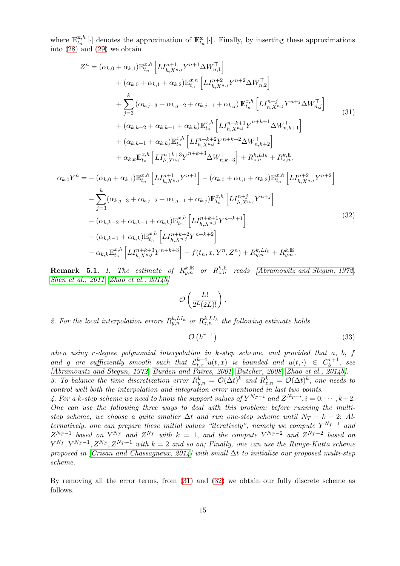where  $\mathbb{E}_{t_n}^{\mathbf{x},h}$  $\mathbf{x}_{t_n}^{*,h}[\cdot]$  denotes the approximation of  $\mathbb{E}_{t_n}^{\mathbf{x}}[\cdot]$ . Finally, by inserting these approximations into [\(28\)](#page-12-2) and [\(29\)](#page-13-0) we obtain

<span id="page-14-0"></span>
$$
Z^{n} = (\alpha_{k,0} + \alpha_{k,1}) \mathbb{E}_{t_{n}}^{x,h} \left[ L I_{h,X^{n,j}}^{n+1} Y^{n+1} \Delta W_{n,1}^{\top} \right]
$$
  
+  $(\alpha_{k,0} + \alpha_{k,1} + \alpha_{k,2}) \mathbb{E}_{t_{n}}^{x,h} \left[ L I_{h,X^{n,j}}^{n+2} Y^{n+2} \Delta W_{n,2}^{\top} \right]$   
+  $\sum_{j=3}^{k} (\alpha_{k,j-3} + \alpha_{k,j-2} + \alpha_{k,j-1} + \alpha_{k,j}) \mathbb{E}_{t_{n}}^{x,h} \left[ L I_{h,X^{n,j}}^{n+j} Y^{n+j} \Delta W_{n,j}^{\top} \right]$   
+  $(\alpha_{k,k-2} + \alpha_{k,k-1} + \alpha_{k,k}) \mathbb{E}_{t_{n}}^{x,h} \left[ L I_{h,X^{n,j}}^{n+k+1} Y^{n+k+1} \Delta W_{n,k+1}^{\top} \right]$   
+  $(\alpha_{k,k-1} + \alpha_{k,k}) \mathbb{E}_{t_{n}}^{x,h} \left[ L I_{h,X^{n,j}}^{n+k+2} Y^{n+k+2} \Delta W_{n,k+2}^{\top} \right]$   
+  $\alpha_{k,k} \mathbb{E}_{t_{n}}^{x,h} \left[ L I_{h,X^{n,j}}^{n+k+3} Y^{n+k+3} \Delta W_{n,k+3}^{\top} \right] + R_{z,n}^{k,LI_{n}} + R_{z,n}^{k,E},$   
 $\alpha_{k,0} Y^{n} = - (\alpha_{k,0} + \alpha_{k,1}) \mathbb{E}_{t_{n}}^{x,h} \left[ L I_{h,X^{n,j}}^{n+1} Y^{n+1} \right] - (\alpha_{k,0} + \alpha_{k,1} + \alpha_{k,2}) \mathbb{E}_{t_{n}}^{x,h} \left[ L I_{h,X^{n,j}}^{n+2} Y^{n+2} \right]$   
-  $\sum_{j=3}^{k} (\alpha_{k,j-3} + \alpha_{k,j-2} + \alpha_{k,j-1} + \alpha_{k,j}) \mathbb{E}_{t_{n}}^{x,h} \left[ L I_{h,X^{n,j}}^{n+j} Y^{n+j} \right]$   
-  $(\alpha_{k,k-2} + \alpha_{k,k-1} + \alpha_{k$ 

<span id="page-14-1"></span>**Remark 5.1.** 1. The estimate of  $R_{y,n}^{k,\mathbb{E}}$  or  $R_{z,n}^{k,\mathbb{E}}$  reads [\[Abramowitz and Stegun, 1972,](#page-20-5) [Shen et al., 2011,](#page-22-13) [Zhao et al., 2014b\]](#page-22-8)

$$
\mathcal{O}\left(\frac{L!}{2^L(2L)!}\right).
$$

2. For the local interpolation errors  $R_{y,n}^{k,LI_h}$  or  $R_{z,n}^{k,LI_h}$  the following estimate holds

<span id="page-14-2"></span>
$$
\mathcal{O}\left(h^{r+1}\right) \tag{33}
$$

when using r-degree polynomial interpolation in  $k$ -step scheme, and provided that  $a, b, f$ and g are sufficiently smooth such that  $\mathcal{L}_{t,x}^{k+4}u(t,x)$  is bounded and  $u(t,\cdot) \in C_b^{r+1}$ , see [\[Abramowitz and Stegun, 1972,](#page-20-5) [Burden and Faires, 2001,](#page-20-6) [Butcher, 2008,](#page-20-4) [Zhao et al., 2014b\]](#page-22-8).

3. To balance the time discretization error  $R_{y,n}^k = \mathcal{O}(\Delta t)^k$  and  $R_{z,n}^k = \mathcal{O}(\Delta t)^k$ , one needs to control well both the interpolation and integration error mentioned in last two points.

4. For a k-step scheme we need to know the support values of  $Y^{N_T-i}$  and  $Z^{N_T-i}$ ,  $i = 0, \cdots, k+2$ . One can use the following three ways to deal with this problem: before running the multistep scheme, we choose a quite smaller  $\Delta t$  and run one-step scheme until  $N_T - k - 2$ ; Alternatively, one can prepare these initial values "iteratively", namely we compute  $Y^{N_T-1}$  and  $Z^{N_T-1}$  based on  $Y^{N_T}$  and  $Z^{N_T}$  with  $k = 1$ , and the compute  $Y^{N_T-2}$  and  $Z^{N_T-2}$  based on  $Y^{N_T}, Y^{N_T-1}, Z^{N_T}, Z^{N_T-1}$  with  $k=2$  and so on; Finally, one can use the Runge-Kutta scheme proposed in [\[Crisan and Chassagneux, 2014\]](#page-20-7) with small  $\Delta t$  to initialize our proposed multi-step scheme.

By removing all the error terms, from [\(31\)](#page-14-0) and [\(32\)](#page-14-1) we obtain our fully discrete scheme as follows.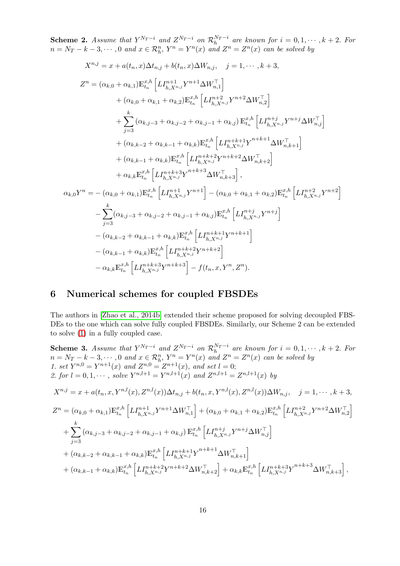**Scheme 2.** Assume that  $Y^{N_T-i}$  and  $Z^{N_T-i}$  on  $\mathcal{R}_h^{N_T-i}$  are known for  $i = 0, 1, \dots, k+2$ . For  $n = N_T - k - 3, \cdots, 0$  and  $x \in \mathcal{R}_h^n$ ,  $Y^n = Y^n(x)$  and  $Z^n = Z^n(x)$  can be solved by

$$
X^{n,j} = x + a(t_n, x) \Delta t_{n,j} + b(t_n, x) \Delta W_{n,j}, \quad j = 1, \dots, k+3,
$$
  
\n
$$
Z^n = (\alpha_{k,0} + \alpha_{k,1}) \mathbb{E}_{t_n}^{x,h} \left[ L I_{h,X^{n,j}}^{n+1} Y^{n+1} \Delta W_{n,1}^\top \right]
$$
  
\n
$$
+ (\alpha_{k,0} + \alpha_{k,1} + \alpha_{k,2}) \mathbb{E}_{t_n}^{x,h} \left[ L I_{h,X^{n,j}}^{n+2} Y^{n+2} \Delta W_{n,2}^\top \right]
$$
  
\n
$$
+ \sum_{j=3}^k (\alpha_{k,j-3} + \alpha_{k,j-2} + \alpha_{k,j-1} + \alpha_{k,j}) \mathbb{E}_{t_n}^{x,h} \left[ L I_{h,X^{n,j}}^{n+1} Y^{n+1} \Delta W_{n,j}^\top \right]
$$
  
\n
$$
+ (\alpha_{k,k-2} + \alpha_{k,k-1} + \alpha_{k,k}) \mathbb{E}_{t_n}^{x,h} \left[ L I_{h,X^{n,j}}^{n+1} Y^{n+k+1} \Delta W_{n,k+1}^\top \right]
$$
  
\n
$$
+ (\alpha_{k,k-1} + \alpha_{k,k}) \mathbb{E}_{t_n}^{x,h} \left[ L I_{h,X^{n,j}}^{n+1} Y^{n+1} \Delta W_{n,k+2}^\top \right]
$$
  
\n
$$
+ \alpha_{k,k} \mathbb{E}_{t_n}^{x,h} \left[ L I_{h,X^{n,j}}^{n+1} Y^{n+1} \Delta W_{n,k+3}^\top \right],
$$
  
\n
$$
\alpha_{k,0} Y^n = - (\alpha_{k,0} + \alpha_{k,1}) \mathbb{E}_{t_n}^{x,h} \left[ L I_{h,X^{n,j}}^{n+1} Y^{n+1} \right] - (\alpha_{k,0} + \alpha_{k,1} + \alpha_{k,2}) \mathbb{E}_{t_n}^{x,h} \left[ L I_{h,X^{n,j}}^{n+2} Y^{n+2} \right]
$$
  
\n
$$
- \sum_{j=3}^k (\alpha_{k,j-3} + \alpha_{k,j-2} + \alpha_{k,j-1} + \alpha_{k,j}) \mathbb{E}_{t_n}^{x,h} \left[ L I_{h,X
$$

# 6 Numerical schemes for coupled FBSDEs

The authors in [\[Zhao et al., 2014b\]](#page-22-8) extended their scheme proposed for solving decoupled FBS-DEs to the one which can solve fully coupled FBSDEs. Similarly, our Scheme 2 can be extended to solve [\(1\)](#page-0-1) in a fully coupled case.

**Scheme 3.** Assume that 
$$
Y^{N_T-i}
$$
 and  $Z^{N_T-i}$  on  $\mathcal{R}_h^{N_T-i}$  are known for  $i = 0, 1, \dots, k+2$ . For  
\n $n = N_T - k - 3, \dots, 0$  and  $x \in \mathcal{R}_h^n$ ,  $Y^n = Y^n(x)$  and  $Z^n = Z^n(x)$  can be solved by  
\n1. set  $Y^{n,0} = Y^{n+1}(x)$  and  $Z^{n,0} = Z^{n+1}(x)$ , and set  $l = 0$ ;  
\n2. for  $l = 0, 1, \dots$ , solve  $Y^{n,l+1} = Y^{n,l+1}(x)$  and  $Z^{n,l+1} = Z^{n,l+1}(x)$  by  
\n $X^{n,j} = x + a(t_n, x, Y^{n,l}(x), Z^{n,l}(x)) \Delta t_{n,j} + b(t_n, x, Y^{n,l}(x), Z^{n,l}(x)) \Delta W_{n,j}, \quad j = 1, \dots, k+3$ ,  
\n $Z^n = (\alpha_{k,0} + \alpha_{k,1}) \mathbb{E}_{t_n}^{x,h} \left[ L I_{h,X^{n,j}}^{n+1} Y^{n+1} \Delta W_{n,1}^\top \right] + (\alpha_{k,0} + \alpha_{k,1} + \alpha_{k,2}) \mathbb{E}_{t_n}^{x,h} \left[ L I_{h,X^{n,j}}^{n+2} Y^{n+2} \Delta W_{n,2}^\top \right]$   
\n $+ \sum_{j=3}^k (\alpha_{k,j-3} + \alpha_{k,j-2} + \alpha_{k,j-1} + \alpha_{k,j}) \mathbb{E}_{t_n}^{x,h} \left[ L I_{h,X^{n,j}}^{n+j} Y^{n+j} \Delta W_{n,j}^\top \right]$   
\n $+ (\alpha_{k,k-2} + \alpha_{k,k-1} + \alpha_{k,k}) \mathbb{E}_{t_n}^{x,h} \left[ L I_{h,X^{n,j}}^{n+k+1} Y^{n+k+1} \Delta W_{n,k+1}^\top \right]$   
\n $+ (\alpha_{k,k-1} + \alpha_{k,k}) \mathbb{E}_{t_n}^{x,h} \left[ L I_{h,X^{n,j}}^{n+k+2} Y^{n+k+2} \Delta W_{n,k+2}^\top \right] + \alpha_{k,k} \mathbb{E}_{$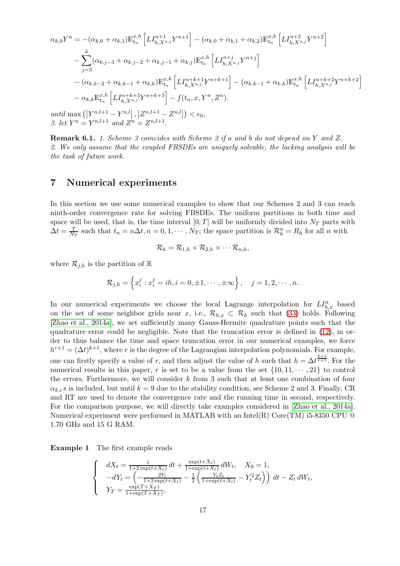$$
\alpha_{k,0}Y^{n} = -(\alpha_{k,0} + \alpha_{k,1})\mathbb{E}_{t_{n}}^{x,h} \left[ L I_{h,X^{n,j}}^{n+1} Y^{n+1} \right] - (\alpha_{k,0} + \alpha_{k,1} + \alpha_{k,2})\mathbb{E}_{t_{n}}^{x,h} \left[ L I_{h,X^{n,j}}^{n+2} Y^{n+2} \right]
$$
  

$$
- \sum_{j=3}^{k} (\alpha_{k,j-3} + \alpha_{k,j-2} + \alpha_{k,j-1} + \alpha_{k,j})\mathbb{E}_{t_{n}}^{x,h} \left[ L I_{h,X^{n,j}}^{n+j} Y^{n+j} \right]
$$
  

$$
- (\alpha_{k,k-2} + \alpha_{k,k-1} + \alpha_{k,k})\mathbb{E}_{t_{n}}^{x,h} \left[ L I_{h,X^{n,j}}^{n+k+1} Y^{n+k+1} \right] - (\alpha_{k,k-1} + \alpha_{k,k})\mathbb{E}_{t_{n}}^{x,h} \left[ L I_{h,X^{n,j}}^{n+k+2} Y^{n+k+2} \right]
$$
  

$$
- \alpha_{k,k} \mathbb{E}_{t_{n}}^{x,h} \left[ L I_{h,X^{n,j}}^{n+k+3} Y^{n+k+3} \right] - f(t_{n}, x, Y^{n}, Z^{n}).
$$
  
until 
$$
\max \left( |Y^{n,l+1} - Y^{n,l} |, |Z^{n,l+1} - Z^{n,l} | \right) < \epsilon_0,
$$
  
3. let  $Y^{n} = Y^{n,l+1}$  and  $Z^{n} = Z^{n,l+1}$ .

Remark 6.1. 1. Scheme 3 coincides with Scheme 2 if a and b do not depend on Y and Z. 2. We only assume that the coupled FBSDEs are uniquely solvable, the lacking analysis will be the task of future work.

## 7 Numerical experiments

In this section we use some numerical examples to show that our Schemes 2 and 3 can reach ninth-order convergence rate for solving FBSDEs. The uniform partitions in both time and space will be used, that is, the time interval  $[0, T]$  will be uniformly divided into  $N_T$  parts with  $\Delta t = \frac{T}{N}$  $\frac{T}{N_T}$  such that  $t_n = n\Delta t, n = 0, 1, \cdots, N_T$ ; the space partition is  $\mathcal{R}_h^n = R_h$  for all n with

$$
\mathcal{R}_h = \mathcal{R}_{1,h} \times \mathcal{R}_{2,h} \times \cdots \mathcal{R}_{n,h},
$$

where  $\mathcal{R}_{j,h}$  is the partition of R

$$
\mathcal{R}_{j,h} = \left\{ x_i^j : x_i^j = ih, i = 0, \pm 1, \cdots, \pm \infty \right\}, \quad j = 1, 2, \cdots, n.
$$

In our numerical experiments we choose the local Lagrange interpolation for  $LI_{h,x}^n$  based on the set of some neighbor grids near x, i.e.,  $\mathcal{R}_{h,x} \subset \mathcal{R}_h$  such that [\(33\)](#page-14-2) holds. Following [\[Zhao et al., 2014a\]](#page-22-11), we set sufficiently many Gauss-Hermite quadrature points such that the quadrature error could be negligible. Note that the truncation error is defined in [\(12\)](#page-7-1), in order to thus balance the time and space truncation error in our numerical examples, we force  $h^{r+1} = (\Delta t)^{k+1}$ , where r is the degree of the Lagrangian interpolation polynomials. For example, one can firstly specify a value of r, and then adjust the value of h such that  $h = \Delta t^{\frac{k+1}{r+1}}$ . For the numerical results in this paper, r is set to be a value from the set  $\{10, 11, \dots, 21\}$  to control the errors. Furthermore, we will consider  $k$  from 3 such that at least one combination of four  $\alpha_{k,i}$  is included, but until  $k = 9$  due to the stability condition, see Scheme 2 and 3. Finally, CR and RT are used to denote the convergence rate and the running time in second, respectively. For the comparison purpose, we will directly take examples considered in [\[Zhao et al., 2014a\]](#page-22-11). Numerical experiment were performed in MATLAB with an Intel(R) Core(TM) i5-8350 CPU  $@$ 1.70 GHz and 15 G RAM.

Example 1 The first example reads

$$
\begin{cases}\n dX_t = \frac{1}{1+2\exp(t+X_t)} dt + \frac{\exp(t+X_t)}{1+\exp(t+X_t)} dW_t, & X_0 = 1, \\
 -dY_t = \left( -\frac{2Y_t}{1+2\exp(t+X_t)} - \frac{1}{2} \left( \frac{Y_t Z_t}{1+\exp(t+X_t)} - Y_t^2 Z_t \right) \right) dt - Z_t dW_t, \\
 Y_T = \frac{\exp(T+X_T)}{1+\exp(T+X_T)},\n\end{cases}
$$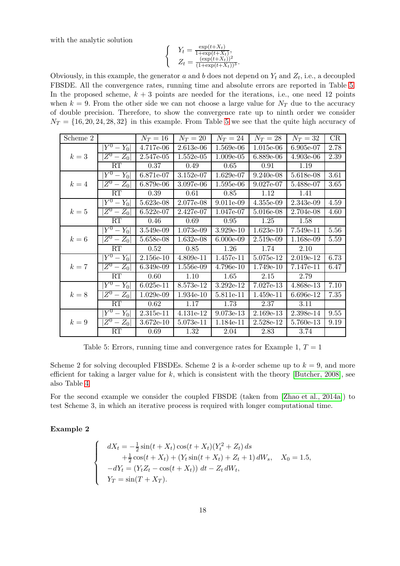with the analytic solution

$$
\begin{cases} Y_t = \frac{\exp(t + X_t)}{1 + \exp(t + X_t)},\\ Z_t = \frac{(\exp(t + X_t))^2}{(1 + \exp(t + X_t))^3}.\end{cases}
$$

Obviously, in this example, the generator a and b does not depend on  $Y_t$  and  $Z_t$ , i.e., a decoupled FBSDE. All the convergence rates, running time and absolute errors are reported in Table [5.](#page-17-0) In the proposed scheme,  $k + 3$  points are needed for the iterations, i.e., one need 12 points when  $k = 9$ . From the other side we can not choose a large value for  $N_T$  due to the accuracy of double precision. Therefore, to show the convergence rate up to ninth order we consider  $N_T = \{16, 20, 24, 28, 32\}$  in this example. From Table [5](#page-17-0) we see that the quite high accuracy of

<span id="page-17-0"></span>

| Scheme 2 |                          | $N_T=16$    | $N_T=20$    | $N_T=24$    | $N_T=28$    | $N_T=32$  | CR   |
|----------|--------------------------|-------------|-------------|-------------|-------------|-----------|------|
|          | $Y^0 - Y_0$              | 4.717e-06   | $2.613e-06$ | 1.569e-06   | $1.015e-06$ | 6.905e-07 | 2.78 |
| $k=3$    | $Z^0 - Z_0$              | 2.547e-05   | $1.552e-05$ | $1.009e-05$ | 6.889e-06   | 4.903e-06 | 2.39 |
|          | RT                       | 0.37        | 0.49        | 0.65        | 0.91        | 1.19      |      |
|          | $\overline{Y^0} - Y_0$   | 6.871e-07   | 3.152e-07   | $1.629e-07$ | $9.240e-08$ | 5.618e-08 | 3.61 |
| $k=4$    | $ Z^0 - Z_0 $            | 6.879e-06   | 3.097e-06   | 1.595e-06   | 9.027e-07   | 5.488e-07 | 3.65 |
|          | RT                       | 0.39        | 0.61        | 0.85        | 1.12        | 1.41      |      |
|          | $ Y^0-Y_0 $              | 5.623e-08   | 2.077e-08   | 9.011e-09   | 4.355e-09   | 2.343e-09 | 4.59 |
| $k=5$    | $Z^0-Z_0$                | $6.522e-07$ | 2.427e-07   | 1.047e-07   | 5.016e-08   | 2.704e-08 | 4.60 |
|          | RT                       | 0.46        | 0.69        | 0.95        | 1.25        | 1.58      |      |
|          | $ \overline{Y}{}^0-Y_0 $ | 3.549e-09   | 1.073e-09   | 3.929e-10   | $1.623e-10$ | 7.549e-11 | 5.56 |
| $k=6$    | $ Z^0 - Z_0 $            | 5.658e-08   | 1.632e-08   | 6.000e-09   | 2.519e-09   | 1.168e-09 | 5.59 |
|          | RT                       | 0.52        | 0.85        | 1.26        | 1.74        | 2.10      |      |
|          | $ \overline{Y}{}^0-Y_0 $ | 2.156e-10   | 4.809e-11   | 1.457e-11   | 5.075e-12   | 2.019e-12 | 6.73 |
| $k=7$    | $Z^0 - Z_0$              | 6.349e-09   | 1.556e-09   | 4.796e-10   | 1.749e-10   | 7.147e-11 | 6.47 |
|          | RT                       | 0.60        | 1.10        | 1.65        | 2.15        | 2.79      |      |
|          | $ \overline{Y}{}^0-Y_0 $ | $6.025e-11$ | 8.573e-12   | 3.292e-12   | 7.027e-13   | 4.868e-13 | 7.10 |
| $k=8$    | $ Z^0 - Z_0 $            | $1.029e-09$ | 1.934e-10   | 5.811e-11   | 1.459e-11   | 6.696e-12 | 7.35 |
|          | RT                       | 0.62        | 1.17        | 1.73        | 2.37        | 3.11      |      |
|          | $ \overline{Y}{}^0-Y_0 $ | $2.315e-11$ | 4.131e-12   | 9.073e-13   | 2.169e-13   | 2.398e-14 | 9.55 |
| $k=9$    | $Z^0 - Z_0$              | $3.672e-10$ | 5.073e-11   | 1.184e-11   | 2.528e-12   | 5.760e-13 | 9.19 |
|          | RT                       | 0.69        | 1.32        | 2.04        | 2.83        | 3.74      |      |

Table 5: Errors, running time and convergence rates for Example 1,  $T = 1$ 

Scheme 2 for solving decoupled FBSDEs. Scheme 2 is a k-order scheme up to  $k = 9$ , and more efficient for taking a larger value for k, which is consistent with the theory [\[Butcher, 2008\]](#page-20-4), see also Table [4](#page-8-1)

For the second example we consider the coupled FBSDE (taken from [\[Zhao et al., 2014a\]](#page-22-11)) to test Scheme 3, in which an iterative process is required with longer computational time.

Example 2

$$
\begin{cases}\n dX_t = -\frac{1}{2}\sin(t + X_t)\cos(t + X_t)(Y_t^2 + Z_t) ds \\
 + \frac{1}{2}\cos(t + X_t) + (Y_t\sin(t + X_t) + Z_t + 1) dW_s, \quad X_0 = 1.5, \\
 -dY_t = (Y_tZ_t - \cos(t + X_t)) dt - Z_t dW_t, \\
 Y_T = \sin(T + X_T).\n\end{cases}
$$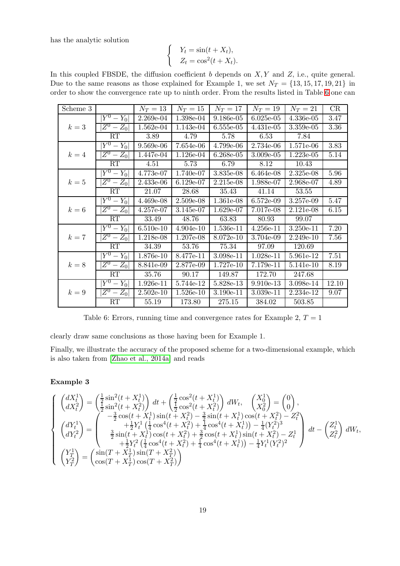has the analytic solution

$$
Y_t = \sin(t + X_t),
$$
  
\n
$$
Z_t = \cos^2(t + X_t).
$$

 $\left\{ \right.$ 

In this coupled FBSDE, the diffusion coefficient  $b$  depends on  $X, Y$  and  $Z$ , i.e., quite general. Due to the same reasons as those explained for Example 1, we set  $N_T = \{13, 15, 17, 19, 21\}$  in order to show the convergence rate up to ninth order. From the results listed in Table [6](#page-18-0) one can

<span id="page-18-0"></span>

| Scheme 3 |                          | $N_T=13$    | $N_T=15$    | $N_T=17$  | $N_T=19$    | $N_T=21$    | CR    |
|----------|--------------------------|-------------|-------------|-----------|-------------|-------------|-------|
|          | $ \overline{Y}{}^0-Y_0 $ | 2.269e-04   | 1.398e-04   | 9.186e-05 | $6.025e-05$ | 4.336e-05   | 3.47  |
| $k=3$    | $Z^0 - Z_0$              | $1.562e-04$ | 1.143e-04   | 6.555e-05 | 4.431e-05   | 3.359e-05   | 3.36  |
|          | RT                       | 3.89        | 4.79        | 5.78      | 6.53        | 7.84        |       |
|          | $ Y^0-Y_0 $              | 9.569e-06   | 7.654e-06   | 4.799e-06 | 2.734e-06   | $1.571e-06$ | 3.83  |
| $k=4$    | $Z^0 - Z_0$              | 1.447e-04   | 1.126e-04   | 6.268e-05 | 3.009e-05   | $1.223e-05$ | 5.14  |
|          | RT                       | 4.51        | 5.73        | 6.79      | 8.12        | 10.43       |       |
|          | $\overline{Y^0} - Y_0$   | 4.773e-07   | 1.740e-07   | 3.835e-08 | $6.464e-08$ | 2.325e-08   | 5.96  |
| $k=5$    | $Z^0 - Z_0$              | 2.433e-06   | 6.129e-07   | 2.215e-08 | 1.988e-07   | 2.968e-07   | 4.89  |
|          | RT                       | 21.07       | 28.68       | 35.43     | 41.14       | 53.55       |       |
|          | $ Y^0 - Y_0 $            | 4.469e-08   | 2.509e-08   | 1.361e-08 | $6.572e-09$ | 3.257e-09   | 5.47  |
| $k=6$    | $Z^0 - Z_0$              | 4.257e-07   | 3.145e-07   | 1.629e-07 | 7.017e-08   | 2.121e-08   | 6.15  |
|          | RT                       | 33.49       | 48.76       | 63.83     | 80.93       | 99.07       |       |
|          | $ \overline{Y}{}^0-Y_0 $ | $6.510e-10$ | $4.904e-10$ | 1.536e-11 | $4.256e-11$ | $3.250e-11$ | 7.20  |
| $k=7$    | $Z^0 - Z_0$              | 1.218e-08   | 1.207e-08   | 8.072e-10 | 3.704e-09   | $2.249e-10$ | 7.56  |
|          | RT                       | 34.39       | 53.76       | 75.34     | 97.09       | 120.69      |       |
|          | $ \overline{Y^0} - Y_0 $ | 1.876e-10   | 8.477e-11   | 3.098e-11 | $1.028e-11$ | 5.961e-12   | 7.51  |
| $k=8$    | $ Z^0 - Z_0 $            | 8.841e-09   | 2.877e-09   | 1.727e-10 | 7.179e-11   | 5.141e-10   | 8.19  |
|          | RT                       | 35.76       | 90.17       | 149.87    | 172.70      | 247.68      |       |
|          | $ \overline{Y}{}^0-Y_0 $ | 1.926e-11   | 5.744e-12   | 5.828e-13 | $9.910e-13$ | 3.098e-14   | 12.10 |
| $k=9$    | $Z^0 - Z_0$              | $2.502e-10$ | 1.526e-10   | 3.190e-11 | 3.039e-11   | 2.234e-12   | 9.07  |
|          | RT                       | 55.19       | 173.80      | 275.15    | 384.02      | 503.85      |       |

Table 6: Errors, running time and convergence rates for Example 2,  $T = 1$ 

clearly draw same conclusions as those having been for Example 1.

Finally, we illustrate the accuracy of the proposed scheme for a two-dimensional example, which is also taken from [\[Zhao et al., 2014a\]](#page-22-11) and reads

#### Example 3

$$
\begin{cases}\n\begin{pmatrix}\ndX_t^1 \\
dX_t^2\n\end{pmatrix} = \begin{pmatrix}\n\frac{1}{2}\sin^2(t + X_t^1) \\
\frac{1}{2}\sin^2(t + X_t^2)\n\end{pmatrix} dt + \begin{pmatrix}\n\frac{1}{2}\cos^2(t + X_t^1) \\
\frac{1}{2}\cos^2(t + X_t^2)\n\end{pmatrix} dW_t, \quad\n\begin{pmatrix}\nX_0^1 \\
X_0^2\n\end{pmatrix} = \begin{pmatrix}\n0 \\
0\n\end{pmatrix}, \\
\begin{pmatrix}\ndY_t^1 \\
dY_t^2\n\end{pmatrix} = \begin{pmatrix}\n-\frac{3}{2}\cos(t + X_t^1)\sin(t + X_t^2) - \frac{3}{2}\sin(t + X_t^1)\cos(t + X_t^2) - Z_t^2 \\
+ \frac{1}{2}Y_t^1 \left(\frac{1}{4}\cos^4(t + X_t^2) + \frac{1}{4}\cos^4(t + X_t^1)\right) - \frac{1}{4}(Y_t^2)^3 \\
\frac{3}{2}\sin(t + X_t^1)\cos(t + X_t^2) + \frac{3}{2}\cos(t + X_t^1)\sin(t + X_t^2) - Z_t^1 \\
+ \frac{1}{2}Y_t^2 \left(\frac{1}{4}\cos^4(t + X_t^2) + \frac{1}{4}\cos^4(t + X_t^1)\right) - \frac{1}{4}Y_t^1 (Y_t^2)^2\n\end{pmatrix} dt - \begin{pmatrix}\nZ_t^1 \\
Z_t^2\n\end{pmatrix} dW_t, \\
\begin{pmatrix}\nY_T^1 \\
Y_T^2\n\end{pmatrix} = \begin{pmatrix}\n\sin(T + X_T^1)\sin(T + X_T^2) \\
\cos(T + X_T^1)\cos(T + X_T^2)\n\end{pmatrix}\n\end{cases}
$$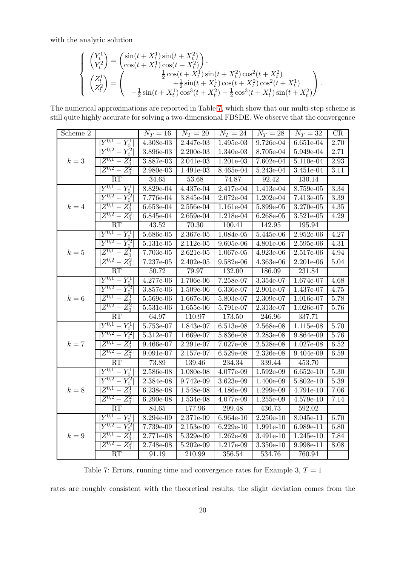with the analytic solution

$$
\begin{cases}\n\begin{pmatrix}\nY_t^1 \\
Y_t^2\n\end{pmatrix} = \begin{pmatrix}\n\sin(t + X_t^1)\sin(t + X_t^2) \\
\cos(t + X_t^1)\cos(t + X_t^2)\n\end{pmatrix}, \\
\begin{pmatrix}\nZ_t^1 \\
Z_t^2\n\end{pmatrix} = \begin{pmatrix}\n\frac{1}{2}\cos(t + X_t^1)\sin(t + X_t^2)\cos^2(t + X_t^2) \\
+ \frac{1}{2}\sin(t + X_t^1)\cos(t + X_t^2)\cos^2(t + X_t^1) \\
- \frac{1}{2}\sin(t + X_t^1)\cos^3(t + X_t^2) - \frac{1}{2}\cos^3(t + X_t^1)\sin(t + X_t^2)\n\end{pmatrix}.\n\end{cases}
$$

<span id="page-19-0"></span>The numerical approximations are reported in Table [7,](#page-19-0) which show that our multi-step scheme is still quite highly accurate for solving a two-dimensional FBSDE. We observe that the convergence

| Scheme 2 |                                 | $N_T = 16$         | $N_T = 20$          |             | $N_T = 24$   $N_T = 28$   $N_T = 32$ |                     | CR       |
|----------|---------------------------------|--------------------|---------------------|-------------|--------------------------------------|---------------------|----------|
|          | $ Y^{0,1}-Y_0^1 $               | $4.308e-03$        | 2.447e-03           | 1.495e-03   | 9.726e-04                            | $6.651e-04$         | 2.70     |
|          | $ Y^{0,2} - Y_0^2 $             | 3.896e-03          | $2.200e-03$         | $1.340e-03$ | 8.705e-04                            | $5.949e-04$         | 2.71     |
| $k=3$    | $Z^{0,1} - Z_0^1$               | 3.887e-03          | $2.041e-03$         | $1.201e-03$ | $7.602e-04$                          | $5.110e-04$         | 2.93     |
|          | $Z^{0,2} - Z_0^2$               | 2.980e-03          | 1.491e-03           | 8.465e-04   | $5.243e-04$                          | 3.451e-04           | $3.11\,$ |
|          | RT                              | $\overline{34.65}$ | 53.68               | 74.87       | 92.42                                | 130.14              |          |
|          | $ Y^{0,1} - Y_0^1 $             | $8.829e-04$        | 4.437e-04           | $2.417e-04$ | 1.413e-04                            | 8.759e-05           | 3.34     |
|          | $Y^{0,2} - Y_0^2$               | 7.776e-04          | 3.845e-04           | $2.072e-04$ | $1.202e-04$                          | $7.413e-05$         | 3.39     |
| $k=4$    | $Z^{0,1}-Z_0^1\vert$            | $6.653e-04$        | $2.556e-04$         | $1.161e-04$ | 5.899e-05                            | 3.270e-05           | 4.35     |
|          | $Z^{0,2}-\overline{Z_0^2}\vert$ | $6.845e-04$        | $2.659e-04$         | $1.218e-04$ | $6.268e-05$                          | $3.521e-05$         | 4.29     |
|          | RT                              | 43.52              | 70.30               | 100.41      | 142.95                               | 195.94              |          |
|          | $ Y^{0,1} - Y_0^1 $             | 5.686e-05          | $2.367e-05$         | 1.084e-05   | 5.445e-06                            | $2.952e-06$         | 4.27     |
|          | $\overline{Y^{0,2}-Y_0^2}$      | 5.131e-05          | $2.112e-05$         | 9.605e-06   | 4.801e-06                            | $2.595e-06$         | 4.31     |
| $k=5$    | $Z^{0,1} - Z_0^1$               | 7.703e-05          | 2.621e-05           | 1.067e-05   | 4.923e-06                            | 2.517e-06           | 4.94     |
|          | $Z^{0,2} - Z_0^2$               | 7.237e-05          | 2.402e-05           | $9.582e-06$ | 4.363e-06                            | 2.201e-06           | 5.04     |
|          | RT                              | 50.72              | 79.97               | 132.00      | 186.09                               | 231.84              |          |
| $k=6$    | $ Y^{0,1} - Y_0^1 $             | $4.277e-06$        | 1.706e-06           | 7.258e-07   | 3.354e-07                            | 1.674e-07           | 4.68     |
|          | $Y^{0,2} - Y_0^2$               | 3.857e-06          | 1.509e-06           | $6.336e-07$ | $2.901e-07$                          | $1.437e-07$         | 4.75     |
|          | $Z^{0,1} - Z_0^1$               | 5.569e-06          | 1.667e-06           | 5.803e-07   | 2.309e-07                            | 1.016e-07           | 5.78     |
|          | $Z^{0,2} - Z_0^2$               | $5.531e-06$        | $1.655e-06$         | 5.791e-07   | 2.313e-07                            | 1.026e-07           | 5.76     |
|          | RT                              | 64.97              | 110.97              | 173.50      | 246.96                               | 337.71              |          |
|          | $Y^{0,1} - Y_0^1$               | 5.753e-07          | $1.843e-07$         | 6.513e-08   | 2.568e-08                            | $1.115e-08$         | 5.70     |
|          | $Y^{0,2} - Y_0^2$               | $5.312e-07$        | $1.669e-07$         | 5.836e-08   | 2.283e-08                            | 9.864e-09           | 5.76     |
| $k=7$    | $\overline{Z^{0,1}-Z_0^1}$      | 9.466e-07          | 2.291e-07           | 7.027e-08   | 2.528e-08                            | 1.027e-08           | 6.52     |
|          | $Z^{0,2}-Z_0^2\vert$            | $9.091e-07$        | 2.157e-07           | 6.529e-08   | $2.326e-08$                          | 9.404e-09           | 6.59     |
|          | RT                              | 73.89              | 139.46              | 234.34      | 339.44                               | $\overline{453.70}$ |          |
|          | $Y^{0,1} - Y_0^1$               | $2.586e-08$        | 1.080e-08           | 4.077e-09   | 1.592e-09                            | $6.652e-10$         | 5.30     |
|          | $ Y^{0,2}-Y_0^2 $               | 2.384e-08          | $9.742e-09$         | $3.623e-09$ | 1.400e-09                            | $5.802e-10$         | 5.39     |
| $k=8$    | $Z^{0,1}-Z_0^1$                 | 6.238e-08          | 1.548e-08           | 4.186e-09   | 1.299e-09                            | 4.791e-10           | 7.06     |
|          | $ Z^{0,2} - Z_0^2 $             | $6.290e-08$        | 1.534e-08           | 4.077e-09   | $1.255e-09$                          | $4.579e-10$         | 7.14     |
|          | RT                              | 84.65              | 177.96              | 299.48      | 436.73                               | 592.02              |          |
|          | $ Y^{0,1} - Y_0^1 $             | 8.294e-09          | 2.371e-09           | 6.964e-10   | $2.250e-10$                          | 8.045e-11           | 6.70     |
|          | $ Y^{0,2}-Y_0^2 $               | 7.739e-09          | $2.153e-09$         | $6.229e-10$ | 1.991e-10                            | 6.989e-11           | 6.80     |
| $k=9$    | $Z^{0,1} - Z_0^1$               | 2.771e-08          | 5.329e-09           | $1.262e-09$ | $3.491e-10$                          | $1.245e-10$         | 7.84     |
|          | $Z^{0,2}-\overline Z^2_0 $      | 2.748e-08          | $5.202e-09$         | 1.217e-09   | $3.350e-10$                          | 9.998e-11           | 8.08     |
|          | RT                              | 91.19              | $\overline{210.99}$ | 356.54      | 534.76                               | 760.94              |          |

Table 7: Errors, running time and convergence rates for Example 3,  $T = 1$ 

rates are roughly consistent with the theoretical results, the slight deviation comes from the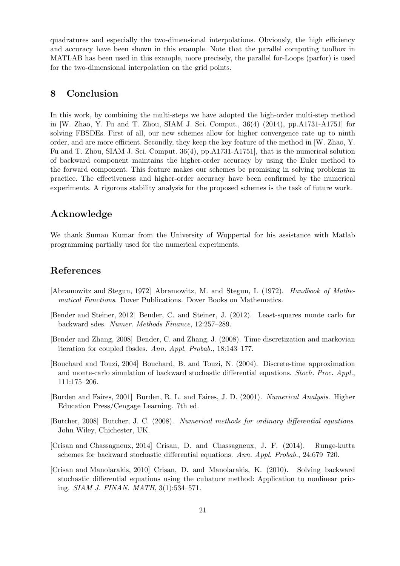quadratures and especially the two-dimensional interpolations. Obviously, the high efficiency and accuracy have been shown in this example. Note that the parallel computing toolbox in MATLAB has been used in this example, more precisely, the parallel for-Loops (parfor) is used for the two-dimensional interpolation on the grid points.

## 8 Conclusion

In this work, by combining the multi-steps we have adopted the high-order multi-step method in [W. Zhao, Y. Fu and T. Zhou, SIAM J. Sci. Comput., 36(4) (2014), pp.A1731-A1751] for solving FBSDEs. First of all, our new schemes allow for higher convergence rate up to ninth order, and are more efficient. Secondly, they keep the key feature of the method in [W. Zhao, Y. Fu and T. Zhou, SIAM J. Sci. Comput. 36(4), pp.A1731-A1751], that is the numerical solution of backward component maintains the higher-order accuracy by using the Euler method to the forward component. This feature makes our schemes be promising in solving problems in practice. The effectiveness and higher-order accuracy have been confirmed by the numerical experiments. A rigorous stability analysis for the proposed schemes is the task of future work.

## Acknowledge

We thank Suman Kumar from the University of Wuppertal for his assistance with Matlab programming partially used for the numerical experiments.

## References

- <span id="page-20-5"></span>[Abramowitz and Stegun, 1972] Abramowitz, M. and Stegun, I. (1972). Handbook of Mathematical Functions. Dover Publications. Dover Books on Mathematics.
- <span id="page-20-1"></span>[Bender and Steiner, 2012] Bender, C. and Steiner, J. (2012). Least-squares monte carlo for backward sdes. Numer. Methods Finance, 12:257–289.
- <span id="page-20-0"></span>[Bender and Zhang, 2008] Bender, C. and Zhang, J. (2008). Time discretization and markovian iteration for coupled fbsdes. Ann. Appl. Probab., 18:143–177.
- <span id="page-20-2"></span>[Bouchard and Touzi, 2004] Bouchard, B. and Touzi, N. (2004). Discrete-time approximation and monte-carlo simulation of backward stochastic differential equations. Stoch. Proc. Appl., 111:175–206.
- <span id="page-20-6"></span>[Burden and Faires, 2001] Burden, R. L. and Faires, J. D. (2001). Numerical Analysis. Higher Education Press/Cengage Learning. 7th ed.
- <span id="page-20-4"></span>[Butcher, 2008] Butcher, J. C. (2008). Numerical methods for ordinary differential equations. John Wiley, Chichester, UK.
- <span id="page-20-7"></span>[Crisan and Chassagneux, 2014] Crisan, D. and Chassagneux, J. F. (2014). Runge-kutta schemes for backward stochastic differential equations. Ann. Appl. Probab., 24:679–720.
- <span id="page-20-3"></span>[Crisan and Manolarakis, 2010] Crisan, D. and Manolarakis, K. (2010). Solving backward stochastic differential equations using the cubature method: Application to nonlinear pricing. SIAM J. FINAN. MATH, 3(1):534–571.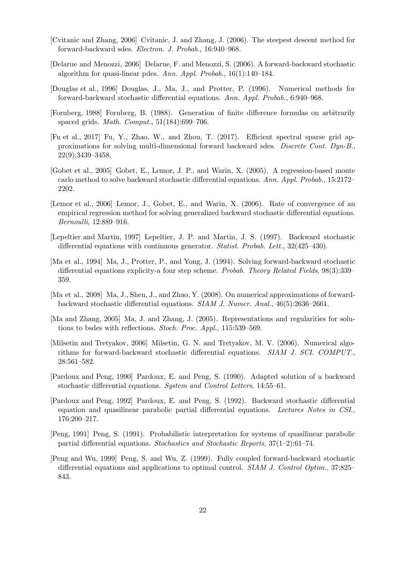- <span id="page-21-5"></span>[Cvitanic and Zhang, 2006] Cvitanic, J. and Zhang, J. (2006). The steepest descent method for forward-backward sdes. Electron. J. Probab., 16:940–968.
- <span id="page-21-6"></span>[Delarue and Menozzi, 2006] Delarue, F. and Menozzi, S. (2006). A forward-backward stochastic algorithm for quasi-linear pdes. Ann. Appl. Probab., 16(1):140–184.
- <span id="page-21-7"></span>[Douglas et al., 1996] Douglas, J., Ma, J., and Protter, P. (1996). Numerical methods for forward-backward stochastic differential equations. Ann. Appl. Probab., 6:940–968.
- <span id="page-21-15"></span>[Fornberg, 1988] Fornberg, B. (1988). Generation of finite difference formulas on arbitrarily spaced grids. Math. Comput., 51(184):699–706.
- <span id="page-21-8"></span>[Fu et al., 2017] Fu, Y., Zhao, W., and Zhou, T. (2017). Efficient spectral sparse grid approximations for solving multi-dimensional forward backward sdes. Discrete Cont. Dyn-B., 22(9):3439–3458.
- <span id="page-21-9"></span>[Gobet et al., 2005] Gobet, E., Lemor, J. P., and Warin, X. (2005). A regression-based monte carlo method to solve backward stochastic differential equations. Ann. Appl. Probab., 15:2172– 2202.
- <span id="page-21-10"></span>[Lemor et al., 2006] Lemor, J., Gobet, E., and Warin, X. (2006). Rate of convergence of an empirical regression method for solving generalized backward stochastic differential equations. Bernoulli, 12:889–916.
- <span id="page-21-2"></span>[Lepeltier and Martin, 1997] Lepeltier, J. P. and Martin, J. S. (1997). Backward stochastic differential equations with continuous generator. Statist. Probab. Lett., 32(425–430).
- <span id="page-21-3"></span>[Ma et al., 1994] Ma, J., Protter, P., and Yong, J. (1994). Solving forward-backward stochastic differential equations explicity-a four step scheme. Probab. Theory Related Fields, 98(3):339– 359.
- <span id="page-21-12"></span>[Ma et al., 2008] Ma, J., Shen, J., and Zhao, Y. (2008). On numerical approximations of forwardbackward stochastic differential equations. SIAM J. Numer. Anal., 46(5):2636–2661.
- <span id="page-21-11"></span>[Ma and Zhang, 2005] Ma, J. and Zhang, J. (2005). Representations and regularities for solutions to bsdes with reflections. Stoch. Proc. Appl., 115:539–569.
- <span id="page-21-13"></span>[Milsetin and Tretyakov, 2006] Milsetin, G. N. and Tretyakov, M. V. (2006). Numerical algorithms for forward-backward stochastic differential equations. SIAM J. SCI. COMPUT., 28:561–582.
- <span id="page-21-0"></span>[Pardoux and Peng, 1990] Pardoux, E. and Peng, S. (1990). Adapted solution of a backward stochastic differential equations. System and Control Letters, 14:55–61.
- <span id="page-21-1"></span>[Pardoux and Peng, 1992] Pardoux, E. and Peng, S. (1992). Backward stochastic differential equation and quasilinear parabolic partial differential equations. Lectures Notes in CSI., 176:200–217.
- <span id="page-21-14"></span>[Peng, 1991] Peng, S. (1991). Probabilistic interpretation for systems of quasilinear parabolic partial differential equations. Stochastics and Stochastic Reports, 37(1–2):61–74.
- <span id="page-21-4"></span>[Peng and Wu, 1999] Peng, S. and Wu, Z. (1999). Fully coupled forward-backward stochastic differential equations and applications to optimal control. SIAM J. Control Optim., 37:825– 843.